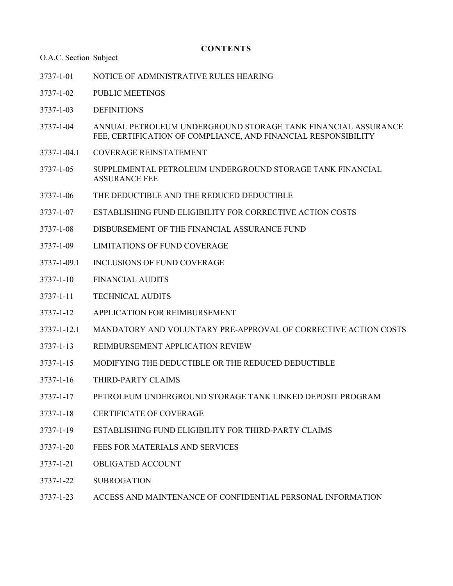#### **CONTENTS**

O.A.C. Section Subject

- [3737-1-01 NOTICE OF ADMINISTRATIVE RULES HEARING](#page-1-0)
- [3737-1-02 PUBLIC MEETINGS](#page-2-0)
- [3737-1-03 DEFINITIONS](#page-3-0)
- [3737-1-04 ANNUAL PETROLEUM UNDERGROUND STORAGE TANK FINANCIAL ASSURANCE](#page-6-0) FEE, CERTIFICATION OF COMPLIANCE, AND FINANCIAL RESPONSIBILITY
- [3737-1-04.1 COVERAGE REINSTATEMENT](#page-9-0)
- [3737-1-05 SUPPLEMENTAL PETROLEUM UNDERGROUND STORAGE TANK FINANCIAL](#page-10-0) ASSURANCE FEE
- [3737-1-06 THE DEDUCTIBLE AND THE REDUCED DEDUCTIBLE](#page-11-0)
- [3737-1-07 ESTABLISHING FUND ELIGIBILITY FOR CORRECTIVE ACTION COSTS](#page-12-0)
- [3737-1-08 DISBURSEMENT OF THE FINANCIAL ASSURANCE FUND](#page-14-0)
- [3737-1-09 LIMITATIONS OF FUND COVERAGE](#page-16-0)
- [3737-1-09.1 INCLUSIONS OF FUND COVERAGE](#page-19-0)
- [3737-1-10 FINANCIAL AUDITS](#page-20-0)
- [3737-1-11 TECHNICAL AUDITS](#page-21-0)
- [3737-1-12 APPLICATION FOR REIMBURSEMENT](#page-22-0)
- [3737-1-12.1 MANDATORY AND VOLUNTARY PRE-APPROVAL OF CORRECTIVE ACTION COSTS](#page-27-0)
- [3737-1-13 REIMBURSEMENT APPLICATION REVIEW](#page-29-0)
- [3737-1-15 MODIFYING THE DEDUCTIBLE OR THE REDUCED DEDUCTIBLE](#page-30-0)
- [3737-1-16 THIRD-PARTY CLAIMS](#page-31-0)
- [3737-1-17 PETROLEUM UNDERGROUND STORAGE TANK LINKED DEPOSIT PROGRAM](#page-32-0)
- [3737-1-18 CERTIFICATE OF COVERAGE](#page-33-0)
- [3737-1-19 ESTABLISHING FUND ELIGIBILITY FOR THIRD-PARTY CLAIMS](#page-34-0)
- [3737-1-20 FEES FOR MATERIALS AND SERVICES](#page-36-0)
- [3737-1-21 OBLIGATED ACCOUNT](#page-37-0)
- [3737-1-22 SUBROGATION](#page-38-0)
- [3737-1-23 ACCESS AND MAINTENANCE OF CONFIDENTIAL PERSONAL INFORMATION](#page-39-0)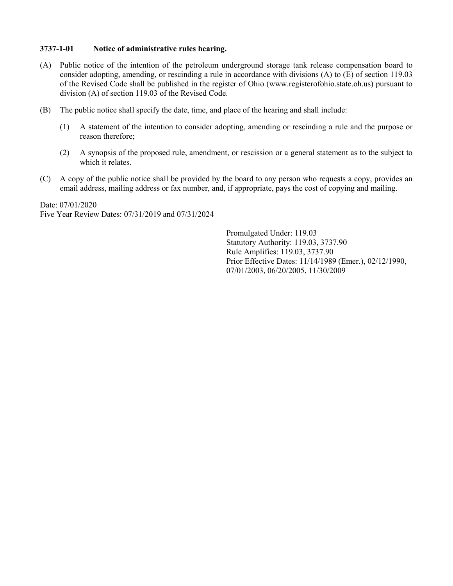### <span id="page-1-0"></span>3737-1-01 Notice of administrative rules hearing.

- (A) Public notice of the intention of the petroleum underground storage tank release compensation board to consider adopting, amending, or rescinding a rule in accordance with divisions (A) to (E) of section 119.03 of the Revised Code shall be published in the register of Ohio (www.registerofohio.state.oh.us) pursuant to division (A) of section 119.03 of the Revised Code.
- (B) The public notice shall specify the date, time, and place of the hearing and shall include:
	- (1) A statement of the intention to consider adopting, amending or rescinding a rule and the purpose or reason therefore;
	- (2) A synopsis of the proposed rule, amendment, or rescission or a general statement as to the subject to which it relates.
- (C) A copy of the public notice shall be provided by the board to any person who requests a copy, provides an email address, mailing address or fax number, and, if appropriate, pays the cost of copying and mailing.

Date: 07/01/2020 Five Year Review Dates: 07/31/2019 and 07/31/2024

> Promulgated Under: 119.03 Statutory Authority: 119.03, 3737.90 Rule Amplifies: 119.03, 3737.90 Prior Effective Dates: 11/14/1989 (Emer.), 02/12/1990, 07/01/2003, 06/20/2005, 11/30/2009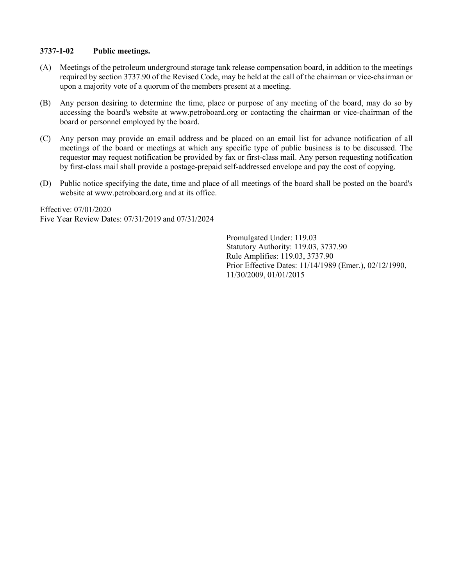## <span id="page-2-0"></span>3737-1-02 Public meetings.

- (A) Meetings of the petroleum underground storage tank release compensation board, in addition to the meetings required by section 3737.90 of the Revised Code, may be held at the call of the chairman or vice-chairman or upon a majority vote of a quorum of the members present at a meeting.
- (B) Any person desiring to determine the time, place or purpose of any meeting of the board, may do so by accessing the board's website at www.petroboard.org or contacting the chairman or vice-chairman of the board or personnel employed by the board.
- (C) Any person may provide an email address and be placed on an email list for advance notification of all meetings of the board or meetings at which any specific type of public business is to be discussed. The requestor may request notification be provided by fax or first-class mail. Any person requesting notification by first-class mail shall provide a postage-prepaid self-addressed envelope and pay the cost of copying.
- (D) Public notice specifying the date, time and place of all meetings of the board shall be posted on the board's website at www.petroboard.org and at its office.

Effective: 07/01/2020 Five Year Review Dates: 07/31/2019 and 07/31/2024

> Promulgated Under: 119.03 Statutory Authority: 119.03, 3737.90 Rule Amplifies: 119.03, 3737.90 Prior Effective Dates: 11/14/1989 (Emer.), 02/12/1990, 11/30/2009, 01/01/2015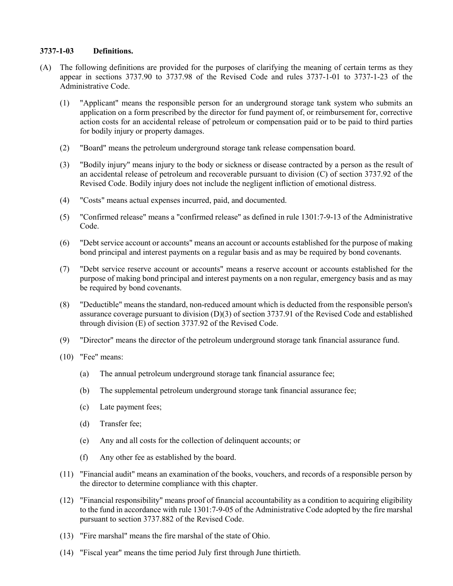### <span id="page-3-0"></span>3737-1-03 Definitions.

- (A) The following definitions are provided for the purposes of clarifying the meaning of certain terms as they appear in sections 3737.90 to 3737.98 of the Revised Code and rules 3737-1-01 to 3737-1-23 of the Administrative Code.
	- (1) "Applicant" means the responsible person for an underground storage tank system who submits an application on a form prescribed by the director for fund payment of, or reimbursement for, corrective action costs for an accidental release of petroleum or compensation paid or to be paid to third parties for bodily injury or property damages.
	- (2) "Board" means the petroleum underground storage tank release compensation board.
	- (3) "Bodily injury" means injury to the body or sickness or disease contracted by a person as the result of an accidental release of petroleum and recoverable pursuant to division (C) of section 3737.92 of the Revised Code. Bodily injury does not include the negligent infliction of emotional distress.
	- (4) "Costs" means actual expenses incurred, paid, and documented.
	- (5) "Confirmed release" means a "confirmed release" as defined in rule 1301:7-9-13 of the Administrative Code.
	- (6) "Debt service account or accounts" means an account or accounts established for the purpose of making bond principal and interest payments on a regular basis and as may be required by bond covenants.
	- (7) "Debt service reserve account or accounts" means a reserve account or accounts established for the purpose of making bond principal and interest payments on a non regular, emergency basis and as may be required by bond covenants.
	- (8) "Deductible" means the standard, non-reduced amount which is deducted from the responsible person's assurance coverage pursuant to division (D)(3) of section 3737.91 of the Revised Code and established through division (E) of section 3737.92 of the Revised Code.
	- (9) "Director" means the director of the petroleum underground storage tank financial assurance fund.
	- (10) "Fee" means:
		- (a) The annual petroleum underground storage tank financial assurance fee;
		- (b) The supplemental petroleum underground storage tank financial assurance fee;
		- (c) Late payment fees;
		- (d) Transfer fee;
		- (e) Any and all costs for the collection of delinquent accounts; or
		- (f) Any other fee as established by the board.
	- (11) "Financial audit" means an examination of the books, vouchers, and records of a responsible person by the director to determine compliance with this chapter.
	- (12) "Financial responsibility" means proof of financial accountability as a condition to acquiring eligibility to the fund in accordance with rule 1301:7-9-05 of the Administrative Code adopted by the fire marshal pursuant to section 3737.882 of the Revised Code.
	- (13) "Fire marshal" means the fire marshal of the state of Ohio.
	- (14) "Fiscal year" means the time period July first through June thirtieth.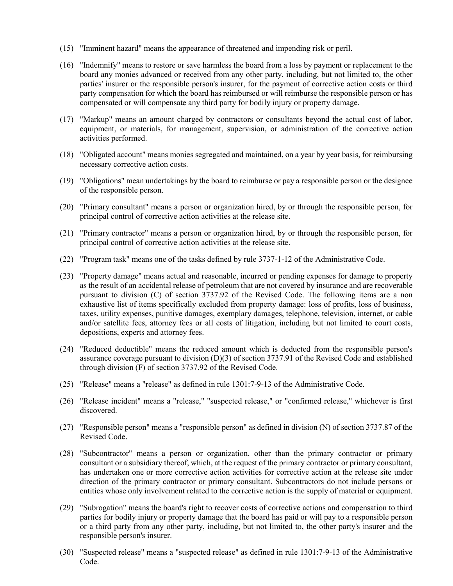- (15) "Imminent hazard" means the appearance of threatened and impending risk or peril.
- (16) "Indemnify" means to restore or save harmless the board from a loss by payment or replacement to the board any monies advanced or received from any other party, including, but not limited to, the other parties' insurer or the responsible person's insurer, for the payment of corrective action costs or third party compensation for which the board has reimbursed or will reimburse the responsible person or has compensated or will compensate any third party for bodily injury or property damage.
- (17) "Markup" means an amount charged by contractors or consultants beyond the actual cost of labor, equipment, or materials, for management, supervision, or administration of the corrective action activities performed.
- (18) "Obligated account" means monies segregated and maintained, on a year by year basis, for reimbursing necessary corrective action costs.
- (19) "Obligations" mean undertakings by the board to reimburse or pay a responsible person or the designee of the responsible person.
- (20) "Primary consultant" means a person or organization hired, by or through the responsible person, for principal control of corrective action activities at the release site.
- (21) "Primary contractor" means a person or organization hired, by or through the responsible person, for principal control of corrective action activities at the release site.
- (22) "Program task" means one of the tasks defined by rule 3737-1-12 of the Administrative Code.
- (23) "Property damage" means actual and reasonable, incurred or pending expenses for damage to property as the result of an accidental release of petroleum that are not covered by insurance and are recoverable pursuant to division (C) of section 3737.92 of the Revised Code. The following items are a non exhaustive list of items specifically excluded from property damage: loss of profits, loss of business, taxes, utility expenses, punitive damages, exemplary damages, telephone, television, internet, or cable and/or satellite fees, attorney fees or all costs of litigation, including but not limited to court costs, depositions, experts and attorney fees.
- (24) "Reduced deductible" means the reduced amount which is deducted from the responsible person's assurance coverage pursuant to division (D)(3) of section 3737.91 of the Revised Code and established through division (F) of section 3737.92 of the Revised Code.
- (25) "Release" means a "release" as defined in rule 1301:7-9-13 of the Administrative Code.
- (26) "Release incident" means a "release," "suspected release," or "confirmed release," whichever is first discovered.
- (27) "Responsible person" means a "responsible person" as defined in division (N) of section 3737.87 of the Revised Code.
- (28) "Subcontractor" means a person or organization, other than the primary contractor or primary consultant or a subsidiary thereof, which, at the request of the primary contractor or primary consultant, has undertaken one or more corrective action activities for corrective action at the release site under direction of the primary contractor or primary consultant. Subcontractors do not include persons or entities whose only involvement related to the corrective action is the supply of material or equipment.
- (29) "Subrogation" means the board's right to recover costs of corrective actions and compensation to third parties for bodily injury or property damage that the board has paid or will pay to a responsible person or a third party from any other party, including, but not limited to, the other party's insurer and the responsible person's insurer.
- (30) "Suspected release" means a "suspected release" as defined in rule 1301:7-9-13 of the Administrative Code.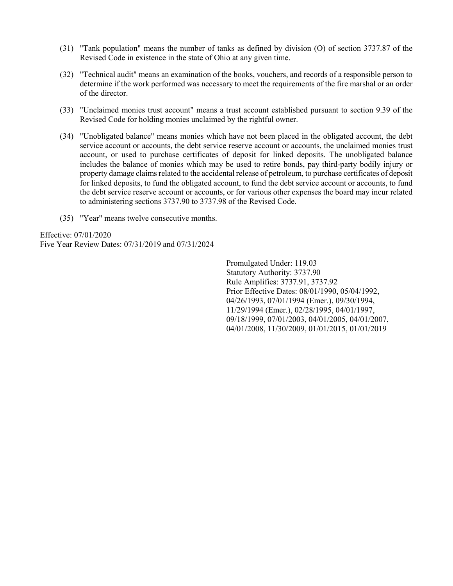- (31) "Tank population" means the number of tanks as defined by division (O) of section 3737.87 of the Revised Code in existence in the state of Ohio at any given time.
- (32) "Technical audit" means an examination of the books, vouchers, and records of a responsible person to determine if the work performed was necessary to meet the requirements of the fire marshal or an order of the director.
- (33) "Unclaimed monies trust account" means a trust account established pursuant to section 9.39 of the Revised Code for holding monies unclaimed by the rightful owner.
- (34) "Unobligated balance" means monies which have not been placed in the obligated account, the debt service account or accounts, the debt service reserve account or accounts, the unclaimed monies trust account, or used to purchase certificates of deposit for linked deposits. The unobligated balance includes the balance of monies which may be used to retire bonds, pay third-party bodily injury or property damage claims related to the accidental release of petroleum, to purchase certificates of deposit for linked deposits, to fund the obligated account, to fund the debt service account or accounts, to fund the debt service reserve account or accounts, or for various other expenses the board may incur related to administering sections 3737.90 to 3737.98 of the Revised Code.
- (35) "Year" means twelve consecutive months.

Effective: 07/01/2020 Five Year Review Dates: 07/31/2019 and 07/31/2024

> Promulgated Under: 119.03 Statutory Authority: 3737.90 Rule Amplifies: 3737.91, 3737.92 Prior Effective Dates: 08/01/1990, 05/04/1992, 04/26/1993, 07/01/1994 (Emer.), 09/30/1994, 11/29/1994 (Emer.), 02/28/1995, 04/01/1997, 09/18/1999, 07/01/2003, 04/01/2005, 04/01/2007, 04/01/2008, 11/30/2009, 01/01/2015, 01/01/2019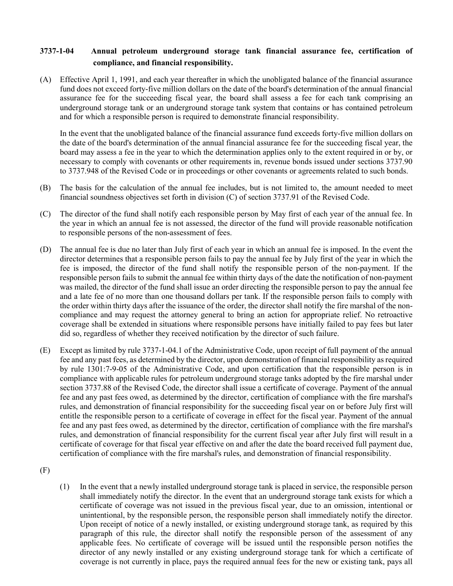# <span id="page-6-0"></span>3737-1-04 Annual petroleum underground storage tank financial assurance fee, certification of compliance, and financial responsibility.

(A) Effective April 1, 1991, and each year thereafter in which the unobligated balance of the financial assurance fund does not exceed forty-five million dollars on the date of the board's determination of the annual financial assurance fee for the succeeding fiscal year, the board shall assess a fee for each tank comprising an underground storage tank or an underground storage tank system that contains or has contained petroleum and for which a responsible person is required to demonstrate financial responsibility.

In the event that the unobligated balance of the financial assurance fund exceeds forty-five million dollars on the date of the board's determination of the annual financial assurance fee for the succeeding fiscal year, the board may assess a fee in the year to which the determination applies only to the extent required in or by, or necessary to comply with covenants or other requirements in, revenue bonds issued under sections 3737.90 to 3737.948 of the Revised Code or in proceedings or other covenants or agreements related to such bonds.

- (B) The basis for the calculation of the annual fee includes, but is not limited to, the amount needed to meet financial soundness objectives set forth in division (C) of section 3737.91 of the Revised Code.
- (C) The director of the fund shall notify each responsible person by May first of each year of the annual fee. In the year in which an annual fee is not assessed, the director of the fund will provide reasonable notification to responsible persons of the non-assessment of fees.
- (D) The annual fee is due no later than July first of each year in which an annual fee is imposed. In the event the director determines that a responsible person fails to pay the annual fee by July first of the year in which the fee is imposed, the director of the fund shall notify the responsible person of the non-payment. If the responsible person fails to submit the annual fee within thirty days of the date the notification of non-payment was mailed, the director of the fund shall issue an order directing the responsible person to pay the annual fee and a late fee of no more than one thousand dollars per tank. If the responsible person fails to comply with the order within thirty days after the issuance of the order, the director shall notify the fire marshal of the noncompliance and may request the attorney general to bring an action for appropriate relief. No retroactive coverage shall be extended in situations where responsible persons have initially failed to pay fees but later did so, regardless of whether they received notification by the director of such failure.
- (E) Except as limited by rule 3737-1-04.1 of the Administrative Code, upon receipt of full payment of the annual fee and any past fees, as determined by the director, upon demonstration of financial responsibility as required by rule 1301:7-9-05 of the Administrative Code, and upon certification that the responsible person is in compliance with applicable rules for petroleum underground storage tanks adopted by the fire marshal under section 3737.88 of the Revised Code, the director shall issue a certificate of coverage. Payment of the annual fee and any past fees owed, as determined by the director, certification of compliance with the fire marshal's rules, and demonstration of financial responsibility for the succeeding fiscal year on or before July first will entitle the responsible person to a certificate of coverage in effect for the fiscal year. Payment of the annual fee and any past fees owed, as determined by the director, certification of compliance with the fire marshal's rules, and demonstration of financial responsibility for the current fiscal year after July first will result in a certificate of coverage for that fiscal year effective on and after the date the board received full payment due, certification of compliance with the fire marshal's rules, and demonstration of financial responsibility.

(1) In the event that a newly installed underground storage tank is placed in service, the responsible person shall immediately notify the director. In the event that an underground storage tank exists for which a certificate of coverage was not issued in the previous fiscal year, due to an omission, intentional or unintentional, by the responsible person, the responsible person shall immediately notify the director. Upon receipt of notice of a newly installed, or existing underground storage tank, as required by this paragraph of this rule, the director shall notify the responsible person of the assessment of any applicable fees. No certificate of coverage will be issued until the responsible person notifies the director of any newly installed or any existing underground storage tank for which a certificate of coverage is not currently in place, pays the required annual fees for the new or existing tank, pays all

<sup>(</sup>F)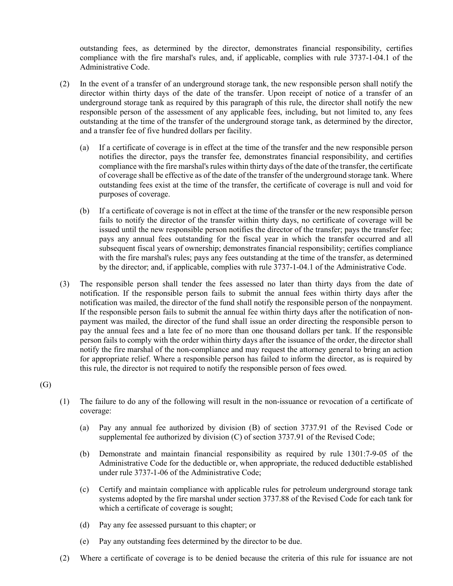outstanding fees, as determined by the director, demonstrates financial responsibility, certifies compliance with the fire marshal's rules, and, if applicable, complies with rule 3737-1-04.1 of the Administrative Code.

- (2) In the event of a transfer of an underground storage tank, the new responsible person shall notify the director within thirty days of the date of the transfer. Upon receipt of notice of a transfer of an underground storage tank as required by this paragraph of this rule, the director shall notify the new responsible person of the assessment of any applicable fees, including, but not limited to, any fees outstanding at the time of the transfer of the underground storage tank, as determined by the director, and a transfer fee of five hundred dollars per facility.
	- (a) If a certificate of coverage is in effect at the time of the transfer and the new responsible person notifies the director, pays the transfer fee, demonstrates financial responsibility, and certifies compliance with the fire marshal's rules within thirty days of the date of the transfer, the certificate of coverage shall be effective as of the date of the transfer of the underground storage tank. Where outstanding fees exist at the time of the transfer, the certificate of coverage is null and void for purposes of coverage.
	- (b) If a certificate of coverage is not in effect at the time of the transfer or the new responsible person fails to notify the director of the transfer within thirty days, no certificate of coverage will be issued until the new responsible person notifies the director of the transfer; pays the transfer fee; pays any annual fees outstanding for the fiscal year in which the transfer occurred and all subsequent fiscal years of ownership; demonstrates financial responsibility; certifies compliance with the fire marshal's rules; pays any fees outstanding at the time of the transfer, as determined by the director; and, if applicable, complies with rule 3737-1-04.1 of the Administrative Code.
- (3) The responsible person shall tender the fees assessed no later than thirty days from the date of notification. If the responsible person fails to submit the annual fees within thirty days after the notification was mailed, the director of the fund shall notify the responsible person of the nonpayment. If the responsible person fails to submit the annual fee within thirty days after the notification of nonpayment was mailed, the director of the fund shall issue an order directing the responsible person to pay the annual fees and a late fee of no more than one thousand dollars per tank. If the responsible person fails to comply with the order within thirty days after the issuance of the order, the director shall notify the fire marshal of the non-compliance and may request the attorney general to bring an action for appropriate relief. Where a responsible person has failed to inform the director, as is required by this rule, the director is not required to notify the responsible person of fees owed.

(G)

- (1) The failure to do any of the following will result in the non-issuance or revocation of a certificate of coverage:
	- (a) Pay any annual fee authorized by division (B) of section 3737.91 of the Revised Code or supplemental fee authorized by division (C) of section 3737.91 of the Revised Code;
	- (b) Demonstrate and maintain financial responsibility as required by rule 1301:7-9-05 of the Administrative Code for the deductible or, when appropriate, the reduced deductible established under rule 3737-1-06 of the Administrative Code;
	- (c) Certify and maintain compliance with applicable rules for petroleum underground storage tank systems adopted by the fire marshal under section 3737.88 of the Revised Code for each tank for which a certificate of coverage is sought;
	- (d) Pay any fee assessed pursuant to this chapter; or
	- (e) Pay any outstanding fees determined by the director to be due.
- (2) Where a certificate of coverage is to be denied because the criteria of this rule for issuance are not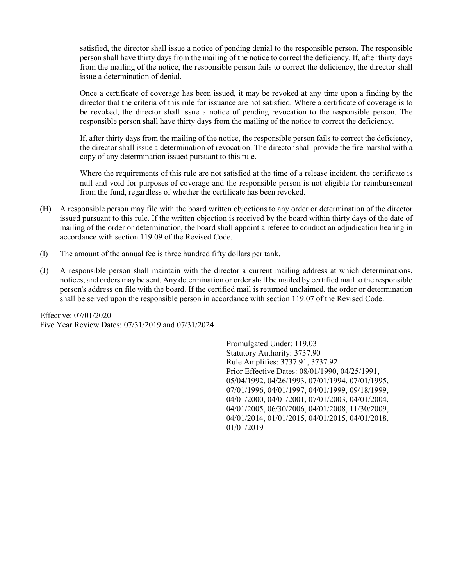satisfied, the director shall issue a notice of pending denial to the responsible person. The responsible person shall have thirty days from the mailing of the notice to correct the deficiency. If, after thirty days from the mailing of the notice, the responsible person fails to correct the deficiency, the director shall issue a determination of denial.

 Once a certificate of coverage has been issued, it may be revoked at any time upon a finding by the director that the criteria of this rule for issuance are not satisfied. Where a certificate of coverage is to be revoked, the director shall issue a notice of pending revocation to the responsible person. The responsible person shall have thirty days from the mailing of the notice to correct the deficiency.

 If, after thirty days from the mailing of the notice, the responsible person fails to correct the deficiency, the director shall issue a determination of revocation. The director shall provide the fire marshal with a copy of any determination issued pursuant to this rule.

 Where the requirements of this rule are not satisfied at the time of a release incident, the certificate is null and void for purposes of coverage and the responsible person is not eligible for reimbursement from the fund, regardless of whether the certificate has been revoked.

- (H) A responsible person may file with the board written objections to any order or determination of the director issued pursuant to this rule. If the written objection is received by the board within thirty days of the date of mailing of the order or determination, the board shall appoint a referee to conduct an adjudication hearing in accordance with section 119.09 of the Revised Code.
- (I) The amount of the annual fee is three hundred fifty dollars per tank.
- (J) A responsible person shall maintain with the director a current mailing address at which determinations, notices, and orders may be sent. Any determination or order shall be mailed by certified mail to the responsible person's address on file with the board. If the certified mail is returned unclaimed, the order or determination shall be served upon the responsible person in accordance with section 119.07 of the Revised Code.

Effective: 07/01/2020 Five Year Review Dates: 07/31/2019 and 07/31/2024

> Promulgated Under: 119.03 Statutory Authority: 3737.90 Rule Amplifies: 3737.91, 3737.92 Prior Effective Dates: 08/01/1990, 04/25/1991, 05/04/1992, 04/26/1993, 07/01/1994, 07/01/1995, 07/01/1996, 04/01/1997, 04/01/1999, 09/18/1999, 04/01/2000, 04/01/2001, 07/01/2003, 04/01/2004, 04/01/2005, 06/30/2006, 04/01/2008, 11/30/2009, 04/01/2014, 01/01/2015, 04/01/2015, 04/01/2018, 01/01/2019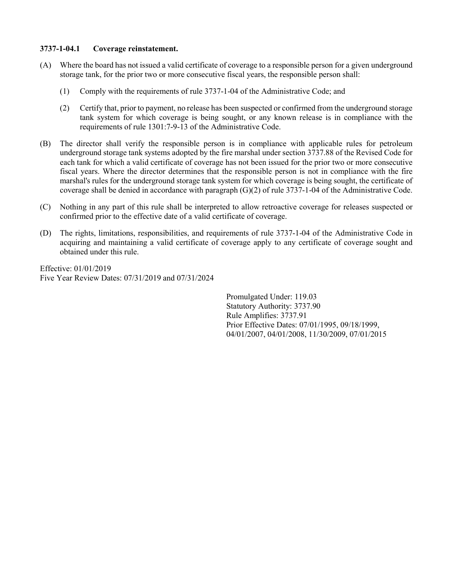#### <span id="page-9-0"></span>3737-1-04.1 Coverage reinstatement.

- (A) Where the board has not issued a valid certificate of coverage to a responsible person for a given underground storage tank, for the prior two or more consecutive fiscal years, the responsible person shall:
	- (1) Comply with the requirements of rule 3737-1-04 of the Administrative Code; and
	- (2) Certify that, prior to payment, no release has been suspected or confirmed from the underground storage tank system for which coverage is being sought, or any known release is in compliance with the requirements of rule 1301:7-9-13 of the Administrative Code.
- (B) The director shall verify the responsible person is in compliance with applicable rules for petroleum underground storage tank systems adopted by the fire marshal under section 3737.88 of the Revised Code for each tank for which a valid certificate of coverage has not been issued for the prior two or more consecutive fiscal years. Where the director determines that the responsible person is not in compliance with the fire marshal's rules for the underground storage tank system for which coverage is being sought, the certificate of coverage shall be denied in accordance with paragraph (G)(2) of rule 3737-1-04 of the Administrative Code.
- (C) Nothing in any part of this rule shall be interpreted to allow retroactive coverage for releases suspected or confirmed prior to the effective date of a valid certificate of coverage.
- (D) The rights, limitations, responsibilities, and requirements of rule 3737-1-04 of the Administrative Code in acquiring and maintaining a valid certificate of coverage apply to any certificate of coverage sought and obtained under this rule.

Effective: 01/01/2019 Five Year Review Dates: 07/31/2019 and 07/31/2024

> Promulgated Under: 119.03 Statutory Authority: 3737.90 Rule Amplifies: 3737.91 Prior Effective Dates: 07/01/1995, 09/18/1999, 04/01/2007, 04/01/2008, 11/30/2009, 07/01/2015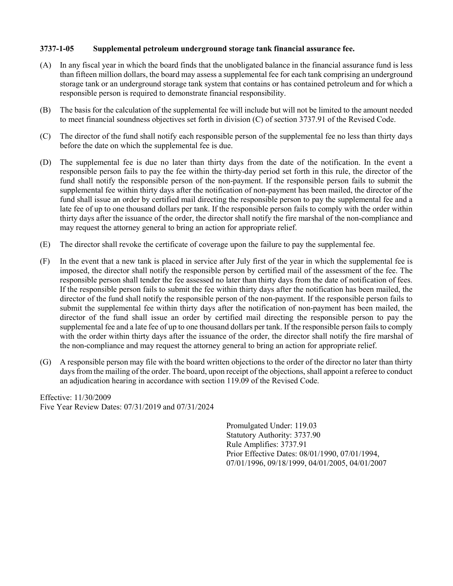### <span id="page-10-0"></span>3737-1-05 Supplemental petroleum underground storage tank financial assurance fee.

- (A) In any fiscal year in which the board finds that the unobligated balance in the financial assurance fund is less than fifteen million dollars, the board may assess a supplemental fee for each tank comprising an underground storage tank or an underground storage tank system that contains or has contained petroleum and for which a responsible person is required to demonstrate financial responsibility.
- (B) The basis for the calculation of the supplemental fee will include but will not be limited to the amount needed to meet financial soundness objectives set forth in division (C) of section 3737.91 of the Revised Code.
- (C) The director of the fund shall notify each responsible person of the supplemental fee no less than thirty days before the date on which the supplemental fee is due.
- (D) The supplemental fee is due no later than thirty days from the date of the notification. In the event a responsible person fails to pay the fee within the thirty-day period set forth in this rule, the director of the fund shall notify the responsible person of the non-payment. If the responsible person fails to submit the supplemental fee within thirty days after the notification of non-payment has been mailed, the director of the fund shall issue an order by certified mail directing the responsible person to pay the supplemental fee and a late fee of up to one thousand dollars per tank. If the responsible person fails to comply with the order within thirty days after the issuance of the order, the director shall notify the fire marshal of the non-compliance and may request the attorney general to bring an action for appropriate relief.
- (E) The director shall revoke the certificate of coverage upon the failure to pay the supplemental fee.
- (F) In the event that a new tank is placed in service after July first of the year in which the supplemental fee is imposed, the director shall notify the responsible person by certified mail of the assessment of the fee. The responsible person shall tender the fee assessed no later than thirty days from the date of notification of fees. If the responsible person fails to submit the fee within thirty days after the notification has been mailed, the director of the fund shall notify the responsible person of the non-payment. If the responsible person fails to submit the supplemental fee within thirty days after the notification of non-payment has been mailed, the director of the fund shall issue an order by certified mail directing the responsible person to pay the supplemental fee and a late fee of up to one thousand dollars per tank. If the responsible person fails to comply with the order within thirty days after the issuance of the order, the director shall notify the fire marshal of the non-compliance and may request the attorney general to bring an action for appropriate relief.
- (G) A responsible person may file with the board written objections to the order of the director no later than thirty days from the mailing of the order. The board, upon receipt of the objections, shall appoint a referee to conduct an adjudication hearing in accordance with section 119.09 of the Revised Code.

Effective: 11/30/2009 Five Year Review Dates: 07/31/2019 and 07/31/2024

> Promulgated Under: 119.03 Statutory Authority: 3737.90 Rule Amplifies: 3737.91 Prior Effective Dates: 08/01/1990, 07/01/1994, 07/01/1996, 09/18/1999, 04/01/2005, 04/01/2007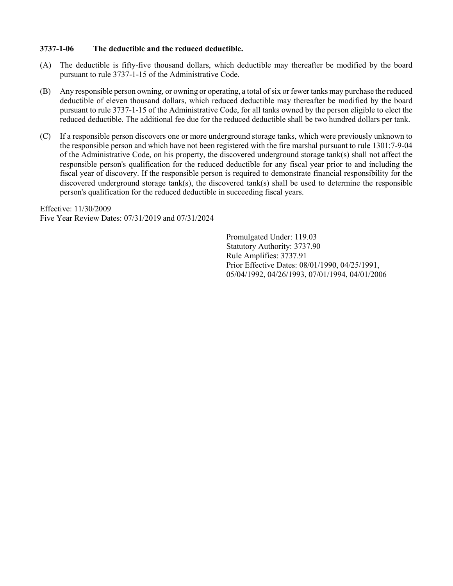### <span id="page-11-0"></span>3737-1-06 The deductible and the reduced deductible.

- (A) The deductible is fifty-five thousand dollars, which deductible may thereafter be modified by the board pursuant to rule 3737-1-15 of the Administrative Code.
- (B) Any responsible person owning, or owning or operating, a total of six or fewer tanks may purchase the reduced deductible of eleven thousand dollars, which reduced deductible may thereafter be modified by the board pursuant to rule 3737-1-15 of the Administrative Code, for all tanks owned by the person eligible to elect the reduced deductible. The additional fee due for the reduced deductible shall be two hundred dollars per tank.
- (C) If a responsible person discovers one or more underground storage tanks, which were previously unknown to the responsible person and which have not been registered with the fire marshal pursuant to rule 1301:7-9-04 of the Administrative Code, on his property, the discovered underground storage tank(s) shall not affect the responsible person's qualification for the reduced deductible for any fiscal year prior to and including the fiscal year of discovery. If the responsible person is required to demonstrate financial responsibility for the discovered underground storage tank(s), the discovered tank(s) shall be used to determine the responsible person's qualification for the reduced deductible in succeeding fiscal years.

Effective: 11/30/2009 Five Year Review Dates: 07/31/2019 and 07/31/2024

> Promulgated Under: 119.03 Statutory Authority: 3737.90 Rule Amplifies: 3737.91 Prior Effective Dates: 08/01/1990, 04/25/1991, 05/04/1992, 04/26/1993, 07/01/1994, 04/01/2006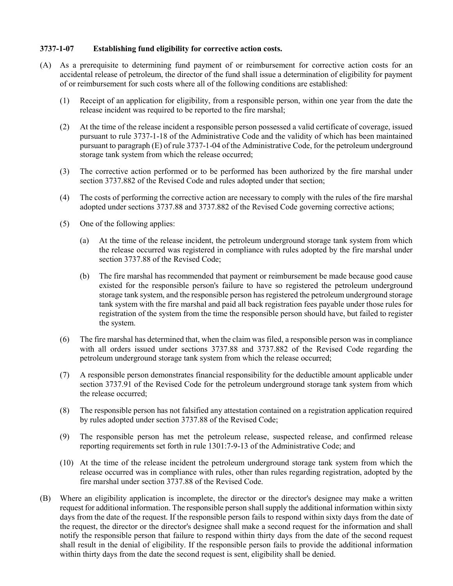### <span id="page-12-0"></span>3737-1-07 Establishing fund eligibility for corrective action costs.

- (A) As a prerequisite to determining fund payment of or reimbursement for corrective action costs for an accidental release of petroleum, the director of the fund shall issue a determination of eligibility for payment of or reimbursement for such costs where all of the following conditions are established:
	- (1) Receipt of an application for eligibility, from a responsible person, within one year from the date the release incident was required to be reported to the fire marshal;
	- (2) At the time of the release incident a responsible person possessed a valid certificate of coverage, issued pursuant to rule 3737-1-18 of the Administrative Code and the validity of which has been maintained pursuant to paragraph (E) of rule 3737-1-04 of the Administrative Code, for the petroleum underground storage tank system from which the release occurred;
	- (3) The corrective action performed or to be performed has been authorized by the fire marshal under section 3737.882 of the Revised Code and rules adopted under that section;
	- (4) The costs of performing the corrective action are necessary to comply with the rules of the fire marshal adopted under sections 3737.88 and 3737.882 of the Revised Code governing corrective actions;
	- (5) One of the following applies:
		- (a) At the time of the release incident, the petroleum underground storage tank system from which the release occurred was registered in compliance with rules adopted by the fire marshal under section 3737.88 of the Revised Code;
		- (b) The fire marshal has recommended that payment or reimbursement be made because good cause existed for the responsible person's failure to have so registered the petroleum underground storage tank system, and the responsible person has registered the petroleum underground storage tank system with the fire marshal and paid all back registration fees payable under those rules for registration of the system from the time the responsible person should have, but failed to register the system.
	- (6) The fire marshal has determined that, when the claim was filed, a responsible person was in compliance with all orders issued under sections 3737.88 and 3737.882 of the Revised Code regarding the petroleum underground storage tank system from which the release occurred;
	- (7) A responsible person demonstrates financial responsibility for the deductible amount applicable under section 3737.91 of the Revised Code for the petroleum underground storage tank system from which the release occurred;
	- (8) The responsible person has not falsified any attestation contained on a registration application required by rules adopted under section 3737.88 of the Revised Code;
	- (9) The responsible person has met the petroleum release, suspected release, and confirmed release reporting requirements set forth in rule 1301:7-9-13 of the Administrative Code; and
	- (10) At the time of the release incident the petroleum underground storage tank system from which the release occurred was in compliance with rules, other than rules regarding registration, adopted by the fire marshal under section 3737.88 of the Revised Code.
- (B) Where an eligibility application is incomplete, the director or the director's designee may make a written request for additional information. The responsible person shall supply the additional information within sixty days from the date of the request. If the responsible person fails to respond within sixty days from the date of the request, the director or the director's designee shall make a second request for the information and shall notify the responsible person that failure to respond within thirty days from the date of the second request shall result in the denial of eligibility. If the responsible person fails to provide the additional information within thirty days from the date the second request is sent, eligibility shall be denied.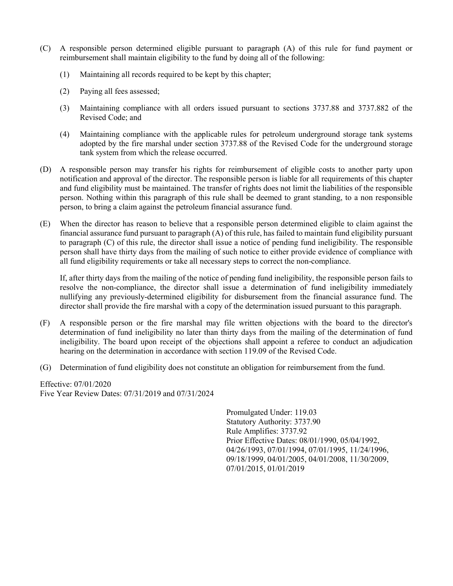- (C) A responsible person determined eligible pursuant to paragraph (A) of this rule for fund payment or reimbursement shall maintain eligibility to the fund by doing all of the following:
	- (1) Maintaining all records required to be kept by this chapter;
	- (2) Paying all fees assessed;
	- (3) Maintaining compliance with all orders issued pursuant to sections 3737.88 and 3737.882 of the Revised Code; and
	- (4) Maintaining compliance with the applicable rules for petroleum underground storage tank systems adopted by the fire marshal under section 3737.88 of the Revised Code for the underground storage tank system from which the release occurred.
- (D) A responsible person may transfer his rights for reimbursement of eligible costs to another party upon notification and approval of the director. The responsible person is liable for all requirements of this chapter and fund eligibility must be maintained. The transfer of rights does not limit the liabilities of the responsible person. Nothing within this paragraph of this rule shall be deemed to grant standing, to a non responsible person, to bring a claim against the petroleum financial assurance fund.
- (E) When the director has reason to believe that a responsible person determined eligible to claim against the financial assurance fund pursuant to paragraph (A) of this rule, has failed to maintain fund eligibility pursuant to paragraph (C) of this rule, the director shall issue a notice of pending fund ineligibility. The responsible person shall have thirty days from the mailing of such notice to either provide evidence of compliance with all fund eligibility requirements or take all necessary steps to correct the non-compliance.

If, after thirty days from the mailing of the notice of pending fund ineligibility, the responsible person fails to resolve the non-compliance, the director shall issue a determination of fund ineligibility immediately nullifying any previously-determined eligibility for disbursement from the financial assurance fund. The director shall provide the fire marshal with a copy of the determination issued pursuant to this paragraph.

- (F) A responsible person or the fire marshal may file written objections with the board to the director's determination of fund ineligibility no later than thirty days from the mailing of the determination of fund ineligibility. The board upon receipt of the objections shall appoint a referee to conduct an adjudication hearing on the determination in accordance with section 119.09 of the Revised Code.
- (G) Determination of fund eligibility does not constitute an obligation for reimbursement from the fund.

Effective: 07/01/2020 Five Year Review Dates: 07/31/2019 and 07/31/2024

> Promulgated Under: 119.03 Statutory Authority: 3737.90 Rule Amplifies: 3737.92 Prior Effective Dates: 08/01/1990, 05/04/1992, 04/26/1993, 07/01/1994, 07/01/1995, 11/24/1996, 09/18/1999, 04/01/2005, 04/01/2008, 11/30/2009, 07/01/2015, 01/01/2019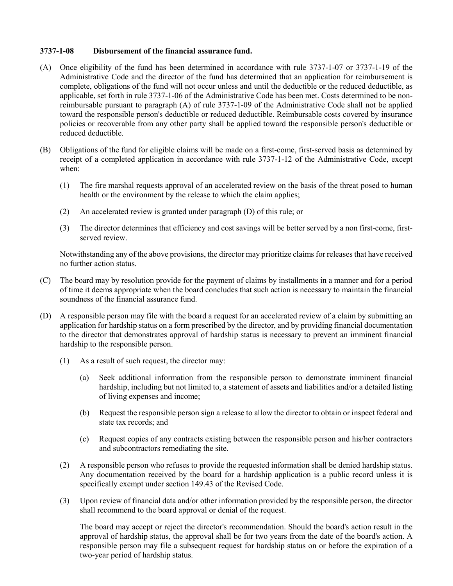## <span id="page-14-0"></span>3737-1-08 Disbursement of the financial assurance fund.

- (A) Once eligibility of the fund has been determined in accordance with rule 3737-1-07 or 3737-1-19 of the Administrative Code and the director of the fund has determined that an application for reimbursement is complete, obligations of the fund will not occur unless and until the deductible or the reduced deductible, as applicable, set forth in rule 3737-1-06 of the Administrative Code has been met. Costs determined to be nonreimbursable pursuant to paragraph (A) of rule 3737-1-09 of the Administrative Code shall not be applied toward the responsible person's deductible or reduced deductible. Reimbursable costs covered by insurance policies or recoverable from any other party shall be applied toward the responsible person's deductible or reduced deductible.
- (B) Obligations of the fund for eligible claims will be made on a first-come, first-served basis as determined by receipt of a completed application in accordance with rule 3737-1-12 of the Administrative Code, except when:
	- (1) The fire marshal requests approval of an accelerated review on the basis of the threat posed to human health or the environment by the release to which the claim applies;
	- (2) An accelerated review is granted under paragraph (D) of this rule; or
	- (3) The director determines that efficiency and cost savings will be better served by a non first-come, firstserved review.

Notwithstanding any of the above provisions, the director may prioritize claims for releases that have received no further action status.

- (C) The board may by resolution provide for the payment of claims by installments in a manner and for a period of time it deems appropriate when the board concludes that such action is necessary to maintain the financial soundness of the financial assurance fund.
- (D) A responsible person may file with the board a request for an accelerated review of a claim by submitting an application for hardship status on a form prescribed by the director, and by providing financial documentation to the director that demonstrates approval of hardship status is necessary to prevent an imminent financial hardship to the responsible person.
	- (1) As a result of such request, the director may:
		- (a) Seek additional information from the responsible person to demonstrate imminent financial hardship, including but not limited to, a statement of assets and liabilities and/or a detailed listing of living expenses and income;
		- (b) Request the responsible person sign a release to allow the director to obtain or inspect federal and state tax records; and
		- (c) Request copies of any contracts existing between the responsible person and his/her contractors and subcontractors remediating the site.
	- (2) A responsible person who refuses to provide the requested information shall be denied hardship status. Any documentation received by the board for a hardship application is a public record unless it is specifically exempt under section 149.43 of the Revised Code.
	- (3) Upon review of financial data and/or other information provided by the responsible person, the director shall recommend to the board approval or denial of the request.

 The board may accept or reject the director's recommendation. Should the board's action result in the approval of hardship status, the approval shall be for two years from the date of the board's action. A responsible person may file a subsequent request for hardship status on or before the expiration of a two-year period of hardship status.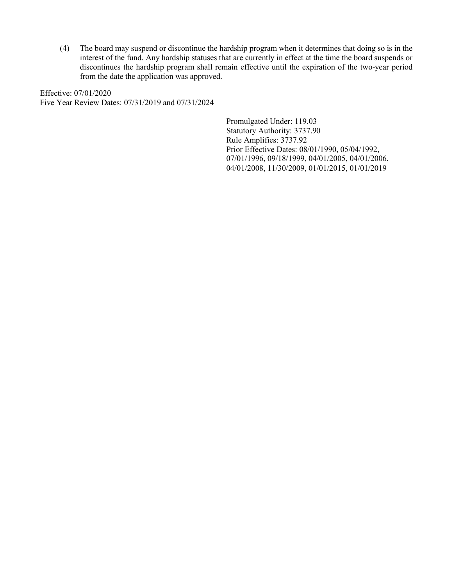(4) The board may suspend or discontinue the hardship program when it determines that doing so is in the interest of the fund. Any hardship statuses that are currently in effect at the time the board suspends or discontinues the hardship program shall remain effective until the expiration of the two-year period from the date the application was approved.

Effective: 07/01/2020 Five Year Review Dates: 07/31/2019 and 07/31/2024

> Promulgated Under: 119.03 Statutory Authority: 3737.90 Rule Amplifies: 3737.92 Prior Effective Dates: 08/01/1990, 05/04/1992, 07/01/1996, 09/18/1999, 04/01/2005, 04/01/2006, 04/01/2008, 11/30/2009, 01/01/2015, 01/01/2019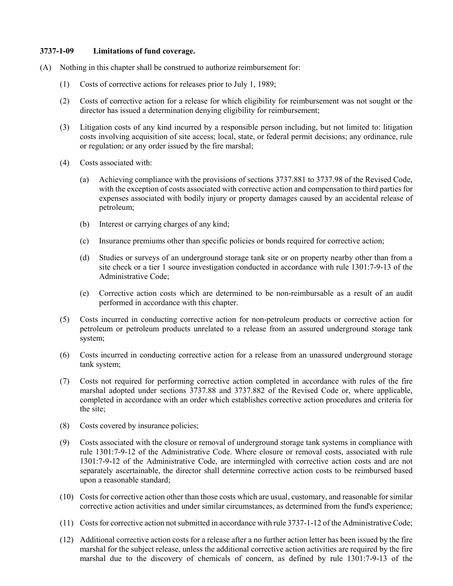### <span id="page-16-0"></span>3737-1-09 Limitations of fund coverage.

- (A) Nothing in this chapter shall be construed to authorize reimbursement for:
	- (1) Costs of corrective actions for releases prior to July 1, 1989;
	- (2) Costs of corrective action for a release for which eligibility for reimbursement was not sought or the director has issued a determination denying eligibility for reimbursement;
	- (3) Litigation costs of any kind incurred by a responsible person including, but not limited to: litigation costs involving acquisition of site access; local, state, or federal permit decisions; any ordinance, rule or regulation; or any order issued by the fire marshal;
	- (4) Costs associated with:
		- (a) Achieving compliance with the provisions of sections 3737.881 to 3737.98 of the Revised Code, with the exception of costs associated with corrective action and compensation to third parties for expenses associated with bodily injury or property damages caused by an accidental release of petroleum;
		- (b) Interest or carrying charges of any kind;
		- (c) Insurance premiums other than specific policies or bonds required for corrective action;
		- (d) Studies or surveys of an underground storage tank site or on property nearby other than from a site check or a tier 1 source investigation conducted in accordance with rule 1301:7-9-13 of the Administrative Code;
		- (e) Corrective action costs which are determined to be non-reimbursable as a result of an audit performed in accordance with this chapter.
	- (5) Costs incurred in conducting corrective action for non-petroleum products or corrective action for petroleum or petroleum products unrelated to a release from an assured underground storage tank system;
	- (6) Costs incurred in conducting corrective action for a release from an unassured underground storage tank system;
	- (7) Costs not required for performing corrective action completed in accordance with rules of the fire marshal adopted under sections 3737.88 and 3737.882 of the Revised Code or, where applicable, completed in accordance with an order which establishes corrective action procedures and criteria for the site;
	- (8) Costs covered by insurance policies;
	- (9) Costs associated with the closure or removal of underground storage tank systems in compliance with rule 1301:7-9-12 of the Administrative Code. Where closure or removal costs, associated with rule 1301:7-9-12 of the Administrative Code, are intermingled with corrective action costs and are not separately ascertainable, the director shall determine corrective action costs to be reimbursed based upon a reasonable standard;
	- (10) Costs for corrective action other than those costs which are usual, customary, and reasonable for similar corrective action activities and under similar circumstances, as determined from the fund's experience;
	- (11) Costs for corrective action not submitted in accordance with rule 3737-1-12 of the Administrative Code;
	- (12) Additional corrective action costs for a release after a no further action letter has been issued by the fire marshal for the subject release, unless the additional corrective action activities are required by the fire marshal due to the discovery of chemicals of concern, as defined by rule 1301:7-9-13 of the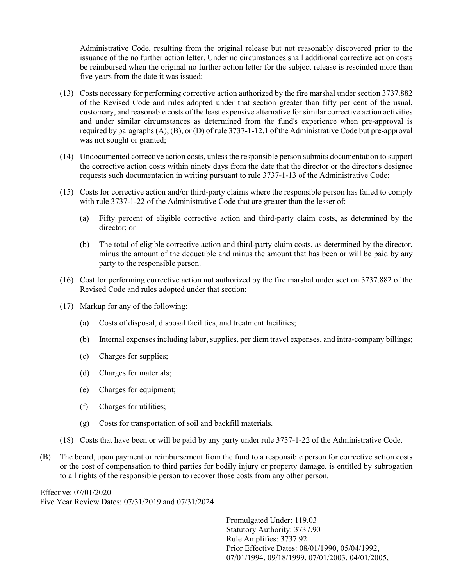Administrative Code, resulting from the original release but not reasonably discovered prior to the issuance of the no further action letter. Under no circumstances shall additional corrective action costs be reimbursed when the original no further action letter for the subject release is rescinded more than five years from the date it was issued;

- (13) Costs necessary for performing corrective action authorized by the fire marshal under section 3737.882 of the Revised Code and rules adopted under that section greater than fifty per cent of the usual, customary, and reasonable costs of the least expensive alternative for similar corrective action activities and under similar circumstances as determined from the fund's experience when pre-approval is required by paragraphs (A), (B), or (D) of rule 3737-1-12.1 of the Administrative Code but pre-approval was not sought or granted;
- (14) Undocumented corrective action costs, unless the responsible person submits documentation to support the corrective action costs within ninety days from the date that the director or the director's designee requests such documentation in writing pursuant to rule 3737-1-13 of the Administrative Code;
- (15) Costs for corrective action and/or third-party claims where the responsible person has failed to comply with rule 3737-1-22 of the Administrative Code that are greater than the lesser of:
	- (a) Fifty percent of eligible corrective action and third-party claim costs, as determined by the director; or
	- (b) The total of eligible corrective action and third-party claim costs, as determined by the director, minus the amount of the deductible and minus the amount that has been or will be paid by any party to the responsible person.
- (16) Cost for performing corrective action not authorized by the fire marshal under section 3737.882 of the Revised Code and rules adopted under that section;
- (17) Markup for any of the following:
	- (a) Costs of disposal, disposal facilities, and treatment facilities;
	- (b) Internal expenses including labor, supplies, per diem travel expenses, and intra-company billings;
	- (c) Charges for supplies;
	- (d) Charges for materials;
	- (e) Charges for equipment;
	- (f) Charges for utilities;
	- (g) Costs for transportation of soil and backfill materials.
- (18) Costs that have been or will be paid by any party under rule 3737-1-22 of the Administrative Code.
- (B) The board, upon payment or reimbursement from the fund to a responsible person for corrective action costs or the cost of compensation to third parties for bodily injury or property damage, is entitled by subrogation to all rights of the responsible person to recover those costs from any other person.

Effective: 07/01/2020 Five Year Review Dates: 07/31/2019 and 07/31/2024

> Promulgated Under: 119.03 Statutory Authority: 3737.90 Rule Amplifies: 3737.92 Prior Effective Dates: 08/01/1990, 05/04/1992, 07/01/1994, 09/18/1999, 07/01/2003, 04/01/2005,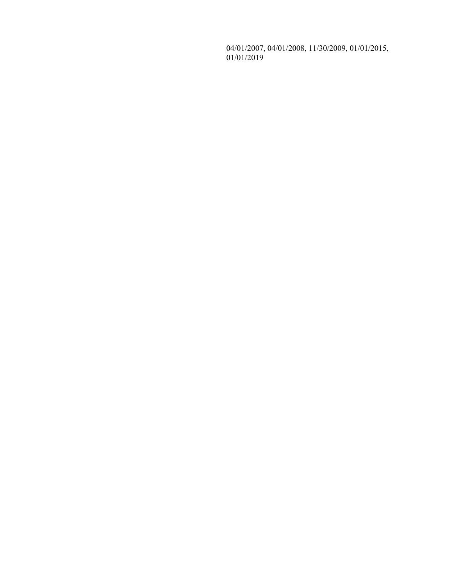04/01/2007, 04/01/2008, 11/30/2009, 01/01/2015, 01/01/2019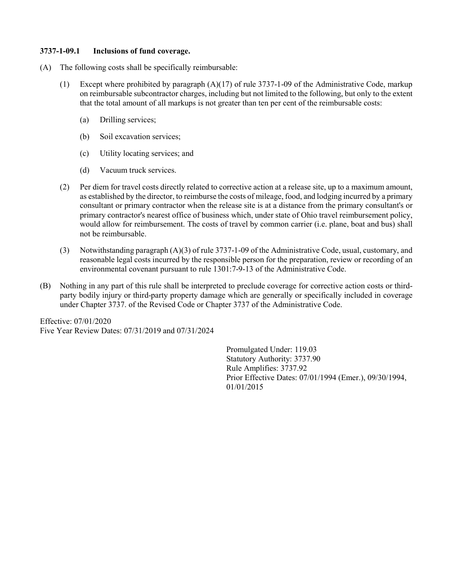### <span id="page-19-0"></span>3737-1-09.1 Inclusions of fund coverage.

- (A) The following costs shall be specifically reimbursable:
	- (1) Except where prohibited by paragraph (A)(17) of rule 3737-1-09 of the Administrative Code, markup on reimbursable subcontractor charges, including but not limited to the following, but only to the extent that the total amount of all markups is not greater than ten per cent of the reimbursable costs:
		- (a) Drilling services;
		- (b) Soil excavation services;
		- (c) Utility locating services; and
		- (d) Vacuum truck services.
	- (2) Per diem for travel costs directly related to corrective action at a release site, up to a maximum amount, as established by the director, to reimburse the costs of mileage, food, and lodging incurred by a primary consultant or primary contractor when the release site is at a distance from the primary consultant's or primary contractor's nearest office of business which, under state of Ohio travel reimbursement policy, would allow for reimbursement. The costs of travel by common carrier (i.e. plane, boat and bus) shall not be reimbursable.
	- (3) Notwithstanding paragraph (A)(3) of rule 3737-1-09 of the Administrative Code, usual, customary, and reasonable legal costs incurred by the responsible person for the preparation, review or recording of an environmental covenant pursuant to rule 1301:7-9-13 of the Administrative Code.
- (B) Nothing in any part of this rule shall be interpreted to preclude coverage for corrective action costs or thirdparty bodily injury or third-party property damage which are generally or specifically included in coverage under Chapter 3737. of the Revised Code or Chapter 3737 of the Administrative Code.

Effective: 07/01/2020 Five Year Review Dates: 07/31/2019 and 07/31/2024

> Promulgated Under: 119.03 Statutory Authority: 3737.90 Rule Amplifies: 3737.92 Prior Effective Dates: 07/01/1994 (Emer.), 09/30/1994, 01/01/2015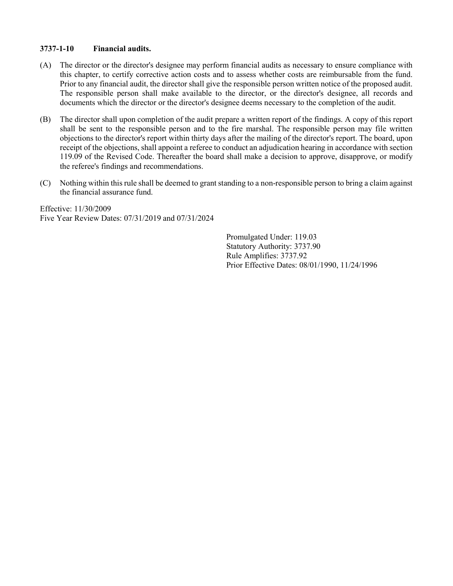### <span id="page-20-0"></span>3737-1-10 Financial audits.

- (A) The director or the director's designee may perform financial audits as necessary to ensure compliance with this chapter, to certify corrective action costs and to assess whether costs are reimbursable from the fund. Prior to any financial audit, the director shall give the responsible person written notice of the proposed audit. The responsible person shall make available to the director, or the director's designee, all records and documents which the director or the director's designee deems necessary to the completion of the audit.
- (B) The director shall upon completion of the audit prepare a written report of the findings. A copy of this report shall be sent to the responsible person and to the fire marshal. The responsible person may file written objections to the director's report within thirty days after the mailing of the director's report. The board, upon receipt of the objections, shall appoint a referee to conduct an adjudication hearing in accordance with section 119.09 of the Revised Code. Thereafter the board shall make a decision to approve, disapprove, or modify the referee's findings and recommendations.
- (C) Nothing within this rule shall be deemed to grant standing to a non-responsible person to bring a claim against the financial assurance fund.

Effective: 11/30/2009 Five Year Review Dates: 07/31/2019 and 07/31/2024

> Promulgated Under: 119.03 Statutory Authority: 3737.90 Rule Amplifies: 3737.92 Prior Effective Dates: 08/01/1990, 11/24/1996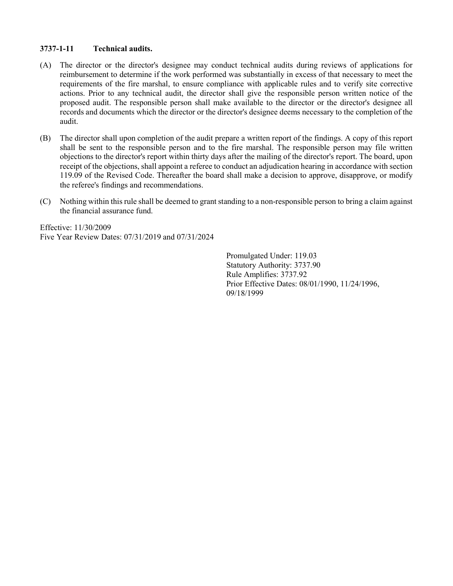## <span id="page-21-0"></span>3737-1-11 Technical audits.

- (A) The director or the director's designee may conduct technical audits during reviews of applications for reimbursement to determine if the work performed was substantially in excess of that necessary to meet the requirements of the fire marshal, to ensure compliance with applicable rules and to verify site corrective actions. Prior to any technical audit, the director shall give the responsible person written notice of the proposed audit. The responsible person shall make available to the director or the director's designee all records and documents which the director or the director's designee deems necessary to the completion of the audit.
- (B) The director shall upon completion of the audit prepare a written report of the findings. A copy of this report shall be sent to the responsible person and to the fire marshal. The responsible person may file written objections to the director's report within thirty days after the mailing of the director's report. The board, upon receipt of the objections, shall appoint a referee to conduct an adjudication hearing in accordance with section 119.09 of the Revised Code. Thereafter the board shall make a decision to approve, disapprove, or modify the referee's findings and recommendations.
- (C) Nothing within this rule shall be deemed to grant standing to a non-responsible person to bring a claim against the financial assurance fund.

Effective: 11/30/2009 Five Year Review Dates: 07/31/2019 and 07/31/2024

> Promulgated Under: 119.03 Statutory Authority: 3737.90 Rule Amplifies: 3737.92 Prior Effective Dates: 08/01/1990, 11/24/1996, 09/18/1999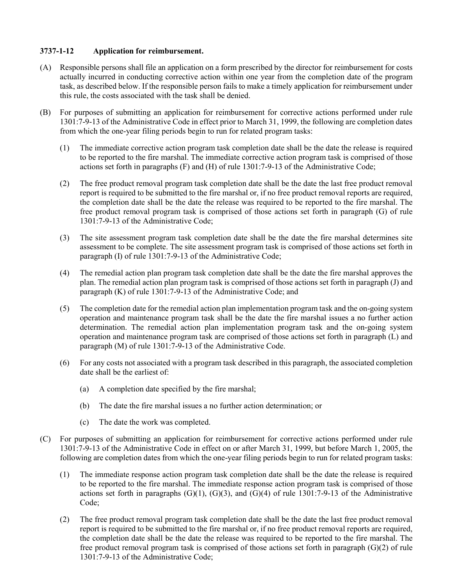## <span id="page-22-0"></span>3737-1-12 Application for reimbursement.

- (A) Responsible persons shall file an application on a form prescribed by the director for reimbursement for costs actually incurred in conducting corrective action within one year from the completion date of the program task, as described below. If the responsible person fails to make a timely application for reimbursement under this rule, the costs associated with the task shall be denied.
- (B) For purposes of submitting an application for reimbursement for corrective actions performed under rule 1301:7-9-13 of the Administrative Code in effect prior to March 31, 1999, the following are completion dates from which the one-year filing periods begin to run for related program tasks:
	- (1) The immediate corrective action program task completion date shall be the date the release is required to be reported to the fire marshal. The immediate corrective action program task is comprised of those actions set forth in paragraphs (F) and (H) of rule 1301:7-9-13 of the Administrative Code;
	- (2) The free product removal program task completion date shall be the date the last free product removal report is required to be submitted to the fire marshal or, if no free product removal reports are required, the completion date shall be the date the release was required to be reported to the fire marshal. The free product removal program task is comprised of those actions set forth in paragraph (G) of rule 1301:7-9-13 of the Administrative Code;
	- (3) The site assessment program task completion date shall be the date the fire marshal determines site assessment to be complete. The site assessment program task is comprised of those actions set forth in paragraph (I) of rule 1301:7-9-13 of the Administrative Code;
	- (4) The remedial action plan program task completion date shall be the date the fire marshal approves the plan. The remedial action plan program task is comprised of those actions set forth in paragraph (J) and paragraph (K) of rule 1301:7-9-13 of the Administrative Code; and
	- (5) The completion date for the remedial action plan implementation program task and the on-going system operation and maintenance program task shall be the date the fire marshal issues a no further action determination. The remedial action plan implementation program task and the on-going system operation and maintenance program task are comprised of those actions set forth in paragraph (L) and paragraph (M) of rule 1301:7-9-13 of the Administrative Code.
	- (6) For any costs not associated with a program task described in this paragraph, the associated completion date shall be the earliest of:
		- (a) A completion date specified by the fire marshal;
		- (b) The date the fire marshal issues a no further action determination; or
		- (c) The date the work was completed.
- (C) For purposes of submitting an application for reimbursement for corrective actions performed under rule 1301:7-9-13 of the Administrative Code in effect on or after March 31, 1999, but before March 1, 2005, the following are completion dates from which the one-year filing periods begin to run for related program tasks:
	- (1) The immediate response action program task completion date shall be the date the release is required to be reported to the fire marshal. The immediate response action program task is comprised of those actions set forth in paragraphs  $(G)(1)$ ,  $(G)(3)$ , and  $(G)(4)$  of rule 1301:7-9-13 of the Administrative Code;
	- (2) The free product removal program task completion date shall be the date the last free product removal report is required to be submitted to the fire marshal or, if no free product removal reports are required, the completion date shall be the date the release was required to be reported to the fire marshal. The free product removal program task is comprised of those actions set forth in paragraph (G)(2) of rule 1301:7-9-13 of the Administrative Code;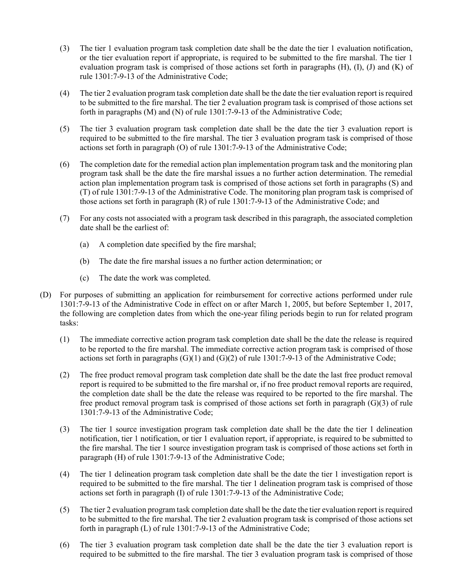- (3) The tier 1 evaluation program task completion date shall be the date the tier 1 evaluation notification, or the tier evaluation report if appropriate, is required to be submitted to the fire marshal. The tier 1 evaluation program task is comprised of those actions set forth in paragraphs  $(H)$ ,  $(I)$ ,  $(I)$  and  $(K)$  of rule 1301:7-9-13 of the Administrative Code;
- (4) The tier 2 evaluation program task completion date shall be the date the tier evaluation report is required to be submitted to the fire marshal. The tier 2 evaluation program task is comprised of those actions set forth in paragraphs (M) and (N) of rule 1301:7-9-13 of the Administrative Code;
- (5) The tier 3 evaluation program task completion date shall be the date the tier 3 evaluation report is required to be submitted to the fire marshal. The tier 3 evaluation program task is comprised of those actions set forth in paragraph (O) of rule 1301:7-9-13 of the Administrative Code;
- (6) The completion date for the remedial action plan implementation program task and the monitoring plan program task shall be the date the fire marshal issues a no further action determination. The remedial action plan implementation program task is comprised of those actions set forth in paragraphs (S) and (T) of rule 1301:7-9-13 of the Administrative Code. The monitoring plan program task is comprised of those actions set forth in paragraph (R) of rule 1301:7-9-13 of the Administrative Code; and
- (7) For any costs not associated with a program task described in this paragraph, the associated completion date shall be the earliest of:
	- (a) A completion date specified by the fire marshal;
	- (b) The date the fire marshal issues a no further action determination; or
	- (c) The date the work was completed.
- (D) For purposes of submitting an application for reimbursement for corrective actions performed under rule 1301:7-9-13 of the Administrative Code in effect on or after March 1, 2005, but before September 1, 2017, the following are completion dates from which the one-year filing periods begin to run for related program tasks:
	- (1) The immediate corrective action program task completion date shall be the date the release is required to be reported to the fire marshal. The immediate corrective action program task is comprised of those actions set forth in paragraphs (G)(1) and (G)(2) of rule 1301:7-9-13 of the Administrative Code;
	- (2) The free product removal program task completion date shall be the date the last free product removal report is required to be submitted to the fire marshal or, if no free product removal reports are required, the completion date shall be the date the release was required to be reported to the fire marshal. The free product removal program task is comprised of those actions set forth in paragraph (G)(3) of rule 1301:7-9-13 of the Administrative Code;
	- (3) The tier 1 source investigation program task completion date shall be the date the tier 1 delineation notification, tier 1 notification, or tier 1 evaluation report, if appropriate, is required to be submitted to the fire marshal. The tier 1 source investigation program task is comprised of those actions set forth in paragraph (H) of rule 1301:7-9-13 of the Administrative Code;
	- (4) The tier 1 delineation program task completion date shall be the date the tier 1 investigation report is required to be submitted to the fire marshal. The tier 1 delineation program task is comprised of those actions set forth in paragraph (I) of rule 1301:7-9-13 of the Administrative Code;
	- (5) The tier 2 evaluation program task completion date shall be the date the tier evaluation report is required to be submitted to the fire marshal. The tier 2 evaluation program task is comprised of those actions set forth in paragraph (L) of rule 1301:7-9-13 of the Administrative Code;
	- (6) The tier 3 evaluation program task completion date shall be the date the tier 3 evaluation report is required to be submitted to the fire marshal. The tier 3 evaluation program task is comprised of those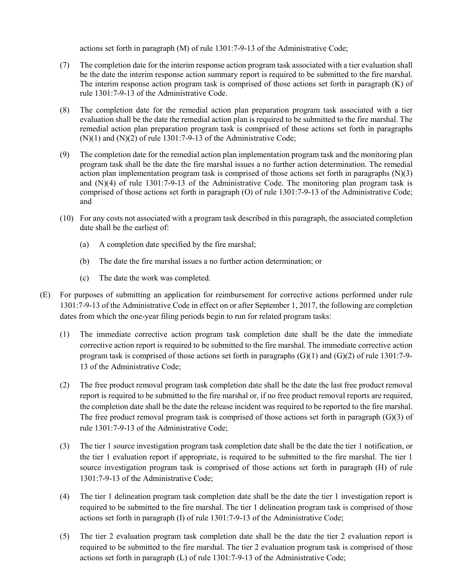actions set forth in paragraph (M) of rule 1301:7-9-13 of the Administrative Code;

- (7) The completion date for the interim response action program task associated with a tier evaluation shall be the date the interim response action summary report is required to be submitted to the fire marshal. The interim response action program task is comprised of those actions set forth in paragraph (K) of rule 1301:7-9-13 of the Administrative Code.
- (8) The completion date for the remedial action plan preparation program task associated with a tier evaluation shall be the date the remedial action plan is required to be submitted to the fire marshal. The remedial action plan preparation program task is comprised of those actions set forth in paragraphs  $(N)(1)$  and  $(N)(2)$  of rule 1301:7-9-13 of the Administrative Code;
- (9) The completion date for the remedial action plan implementation program task and the monitoring plan program task shall be the date the fire marshal issues a no further action determination. The remedial action plan implementation program task is comprised of those actions set forth in paragraphs (N)(3) and (N)(4) of rule 1301:7-9-13 of the Administrative Code. The monitoring plan program task is comprised of those actions set forth in paragraph (O) of rule 1301:7-9-13 of the Administrative Code; and
- (10) For any costs not associated with a program task described in this paragraph, the associated completion date shall be the earliest of:
	- (a) A completion date specified by the fire marshal;
	- (b) The date the fire marshal issues a no further action determination; or
	- (c) The date the work was completed.
- (E) For purposes of submitting an application for reimbursement for corrective actions performed under rule 1301:7-9-13 of the Administrative Code in effect on or after September 1, 2017, the following are completion dates from which the one-year filing periods begin to run for related program tasks:
	- (1) The immediate corrective action program task completion date shall be the date the immediate corrective action report is required to be submitted to the fire marshal. The immediate corrective action program task is comprised of those actions set forth in paragraphs  $(G)(1)$  and  $(G)(2)$  of rule 1301:7-9-13 of the Administrative Code;
	- (2) The free product removal program task completion date shall be the date the last free product removal report is required to be submitted to the fire marshal or, if no free product removal reports are required, the completion date shall be the date the release incident was required to be reported to the fire marshal. The free product removal program task is comprised of those actions set forth in paragraph (G)(3) of rule 1301:7-9-13 of the Administrative Code;
	- (3) The tier 1 source investigation program task completion date shall be the date the tier 1 notification, or the tier 1 evaluation report if appropriate, is required to be submitted to the fire marshal. The tier 1 source investigation program task is comprised of those actions set forth in paragraph (H) of rule 1301:7-9-13 of the Administrative Code;
	- (4) The tier 1 delineation program task completion date shall be the date the tier 1 investigation report is required to be submitted to the fire marshal. The tier 1 delineation program task is comprised of those actions set forth in paragraph (I) of rule 1301:7-9-13 of the Administrative Code;
	- (5) The tier 2 evaluation program task completion date shall be the date the tier 2 evaluation report is required to be submitted to the fire marshal. The tier 2 evaluation program task is comprised of those actions set forth in paragraph (L) of rule 1301:7-9-13 of the Administrative Code;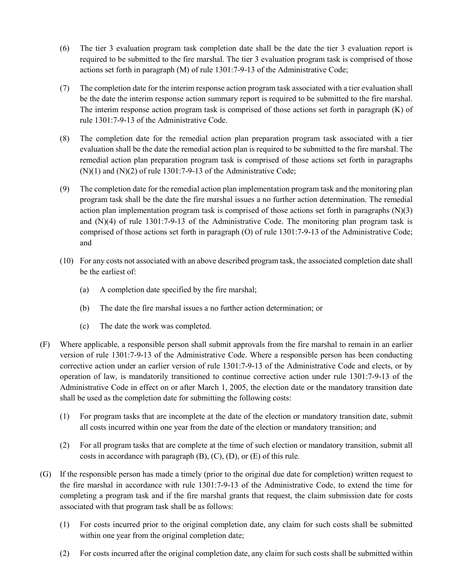- (6) The tier 3 evaluation program task completion date shall be the date the tier 3 evaluation report is required to be submitted to the fire marshal. The tier 3 evaluation program task is comprised of those actions set forth in paragraph (M) of rule 1301:7-9-13 of the Administrative Code;
- (7) The completion date for the interim response action program task associated with a tier evaluation shall be the date the interim response action summary report is required to be submitted to the fire marshal. The interim response action program task is comprised of those actions set forth in paragraph (K) of rule 1301:7-9-13 of the Administrative Code.
- (8) The completion date for the remedial action plan preparation program task associated with a tier evaluation shall be the date the remedial action plan is required to be submitted to the fire marshal. The remedial action plan preparation program task is comprised of those actions set forth in paragraphs  $(N)(1)$  and  $(N)(2)$  of rule 1301:7-9-13 of the Administrative Code;
- (9) The completion date for the remedial action plan implementation program task and the monitoring plan program task shall be the date the fire marshal issues a no further action determination. The remedial action plan implementation program task is comprised of those actions set forth in paragraphs  $(N)(3)$ and (N)(4) of rule 1301:7-9-13 of the Administrative Code. The monitoring plan program task is comprised of those actions set forth in paragraph (O) of rule 1301:7-9-13 of the Administrative Code; and
- (10) For any costs not associated with an above described program task, the associated completion date shall be the earliest of:
	- (a) A completion date specified by the fire marshal;
	- (b) The date the fire marshal issues a no further action determination; or
	- (c) The date the work was completed.
- (F) Where applicable, a responsible person shall submit approvals from the fire marshal to remain in an earlier version of rule 1301:7-9-13 of the Administrative Code. Where a responsible person has been conducting corrective action under an earlier version of rule 1301:7-9-13 of the Administrative Code and elects, or by operation of law, is mandatorily transitioned to continue corrective action under rule 1301:7-9-13 of the Administrative Code in effect on or after March 1, 2005, the election date or the mandatory transition date shall be used as the completion date for submitting the following costs:
	- (1) For program tasks that are incomplete at the date of the election or mandatory transition date, submit all costs incurred within one year from the date of the election or mandatory transition; and
	- (2) For all program tasks that are complete at the time of such election or mandatory transition, submit all costs in accordance with paragraph  $(B)$ ,  $(C)$ ,  $(D)$ , or  $(E)$  of this rule.
- (G) If the responsible person has made a timely (prior to the original due date for completion) written request to the fire marshal in accordance with rule 1301:7-9-13 of the Administrative Code, to extend the time for completing a program task and if the fire marshal grants that request, the claim submission date for costs associated with that program task shall be as follows:
	- (1) For costs incurred prior to the original completion date, any claim for such costs shall be submitted within one year from the original completion date;
	- (2) For costs incurred after the original completion date, any claim for such costs shall be submitted within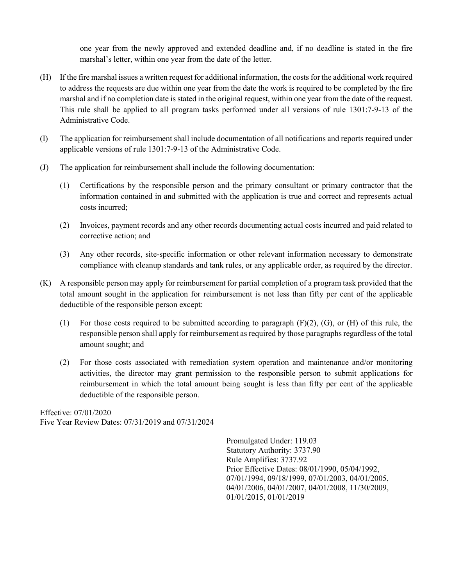one year from the newly approved and extended deadline and, if no deadline is stated in the fire marshal's letter, within one year from the date of the letter.

- (H) If the fire marshal issues a written request for additional information, the costs for the additional work required to address the requests are due within one year from the date the work is required to be completed by the fire marshal and if no completion date is stated in the original request, within one year from the date of the request. This rule shall be applied to all program tasks performed under all versions of rule 1301:7-9-13 of the Administrative Code.
- (I) The application for reimbursement shall include documentation of all notifications and reports required under applicable versions of rule 1301:7-9-13 of the Administrative Code.
- (J) The application for reimbursement shall include the following documentation:
	- (1) Certifications by the responsible person and the primary consultant or primary contractor that the information contained in and submitted with the application is true and correct and represents actual costs incurred;
	- (2) Invoices, payment records and any other records documenting actual costs incurred and paid related to corrective action; and
	- (3) Any other records, site-specific information or other relevant information necessary to demonstrate compliance with cleanup standards and tank rules, or any applicable order, as required by the director.
- (K) A responsible person may apply for reimbursement for partial completion of a program task provided that the total amount sought in the application for reimbursement is not less than fifty per cent of the applicable deductible of the responsible person except:
	- (1) For those costs required to be submitted according to paragraph  $(F)(2)$ ,  $(G)$ , or  $(H)$  of this rule, the responsible person shall apply for reimbursement as required by those paragraphs regardless of the total amount sought; and
	- (2) For those costs associated with remediation system operation and maintenance and/or monitoring activities, the director may grant permission to the responsible person to submit applications for reimbursement in which the total amount being sought is less than fifty per cent of the applicable deductible of the responsible person.

Effective: 07/01/2020 Five Year Review Dates: 07/31/2019 and 07/31/2024

> Promulgated Under: 119.03 Statutory Authority: 3737.90 Rule Amplifies: 3737.92 Prior Effective Dates: 08/01/1990, 05/04/1992, 07/01/1994, 09/18/1999, 07/01/2003, 04/01/2005, 04/01/2006, 04/01/2007, 04/01/2008, 11/30/2009, 01/01/2015, 01/01/2019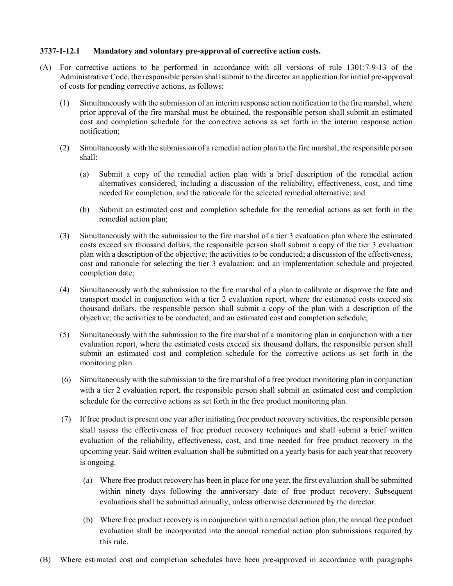### <span id="page-27-0"></span>3737-1-12.1 Mandatory and voluntary pre-approval of corrective action costs.

- (A) For corrective actions to be performed in accordance with all versions of rule 1301:7-9-13 of the Administrative Code, the responsible person shall submit to the director an application for initial pre-approval of costs for pending corrective actions, as follows:
	- (1) Simultaneously with the submission of an interim response action notification to the fire marshal, where prior approval of the fire marshal must be obtained, the responsible person shall submit an estimated cost and completion schedule for the corrective actions as set forth in the interim response action notification;
	- (2) Simultaneously with the submission of a remedial action plan to the fire marshal, the responsible person shall:
		- (a) Submit a copy of the remedial action plan with a brief description of the remedial action alternatives considered, including a discussion of the reliability, effectiveness, cost, and time needed for completion, and the rationale for the selected remedial alternative; and
		- (b) Submit an estimated cost and completion schedule for the remedial actions as set forth in the remedial action plan;
	- (3) Simultaneously with the submission to the fire marshal of a tier 3 evaluation plan where the estimated costs exceed six thousand dollars, the responsible person shall submit a copy of the tier 3 evaluation plan with a description of the objective; the activities to be conducted; a discussion of the effectiveness, cost and rationale for selecting the tier 3 evaluation; and an implementation schedule and projected completion date;
	- (4) Simultaneously with the submission to the fire marshal of a plan to calibrate or disprove the fate and transport model in conjunction with a tier 2 evaluation report, where the estimated costs exceed six thousand dollars, the responsible person shall submit a copy of the plan with a description of the objective; the activities to be conducted; and an estimated cost and completion schedule;
	- (5) Simultaneously with the submission to the fire marshal of a monitoring plan in conjunction with a tier evaluation report, where the estimated costs exceed six thousand dollars, the responsible person shall submit an estimated cost and completion schedule for the corrective actions as set forth in the monitoring plan.
	- (6) Simultaneously with the submission to the fire marshal of a free product monitoring plan in conjunction with a tier 2 evaluation report, the responsible person shall submit an estimated cost and completion schedule for the corrective actions as set forth in the free product monitoring plan.
	- (7) If free product is present one year after initiating free product recovery activities, the responsible person shall assess the effectiveness of free product recovery techniques and shall submit a brief written evaluation of the reliability, effectiveness, cost, and time needed for free product recovery in the upcoming year. Said written evaluation shall be submitted on a yearly basis for each year that recovery is ongoing.
		- (a) Where free product recovery has been in place for one year, the first evaluation shall be submitted within ninety days following the anniversary date of free product recovery. Subsequent evaluations shall be submitted annually, unless otherwise determined by the director.
		- (b) Where free product recovery is in conjunction with a remedial action plan, the annual free product evaluation shall be incorporated into the annual remedial action plan submissions required by this rule.
- (B) Where estimated cost and completion schedules have been pre-approved in accordance with paragraphs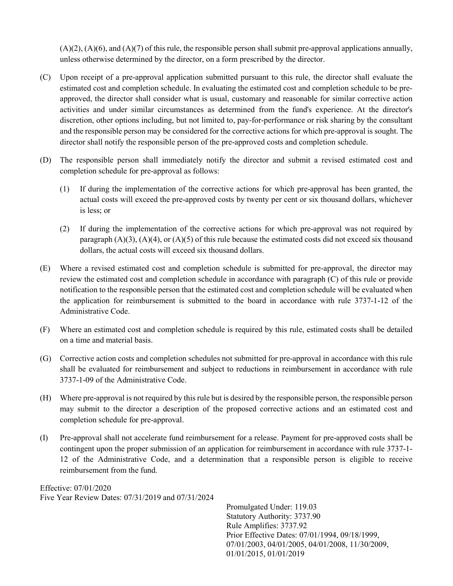$(A)(2)$ ,  $(A)(6)$ , and  $(A)(7)$  of this rule, the responsible person shall submit pre-approval applications annually, unless otherwise determined by the director, on a form prescribed by the director.

- (C) Upon receipt of a pre-approval application submitted pursuant to this rule, the director shall evaluate the estimated cost and completion schedule. In evaluating the estimated cost and completion schedule to be preapproved, the director shall consider what is usual, customary and reasonable for similar corrective action activities and under similar circumstances as determined from the fund's experience. At the director's discretion, other options including, but not limited to, pay-for-performance or risk sharing by the consultant and the responsible person may be considered for the corrective actions for which pre-approval is sought. The director shall notify the responsible person of the pre-approved costs and completion schedule.
- (D) The responsible person shall immediately notify the director and submit a revised estimated cost and completion schedule for pre-approval as follows:
	- (1) If during the implementation of the corrective actions for which pre-approval has been granted, the actual costs will exceed the pre-approved costs by twenty per cent or six thousand dollars, whichever is less; or
	- (2) If during the implementation of the corrective actions for which pre-approval was not required by paragraph  $(A)(3)$ ,  $(A)(4)$ , or  $(A)(5)$  of this rule because the estimated costs did not exceed six thousand dollars, the actual costs will exceed six thousand dollars.
- (E) Where a revised estimated cost and completion schedule is submitted for pre-approval, the director may review the estimated cost and completion schedule in accordance with paragraph (C) of this rule or provide notification to the responsible person that the estimated cost and completion schedule will be evaluated when the application for reimbursement is submitted to the board in accordance with rule 3737-1-12 of the Administrative Code.
- (F) Where an estimated cost and completion schedule is required by this rule, estimated costs shall be detailed on a time and material basis.
- (G) Corrective action costs and completion schedules not submitted for pre-approval in accordance with this rule shall be evaluated for reimbursement and subject to reductions in reimbursement in accordance with rule 3737-1-09 of the Administrative Code.
- (H) Where pre-approval is not required by this rule but is desired by the responsible person, the responsible person may submit to the director a description of the proposed corrective actions and an estimated cost and completion schedule for pre-approval.
- (I) Pre-approval shall not accelerate fund reimbursement for a release. Payment for pre-approved costs shall be contingent upon the proper submission of an application for reimbursement in accordance with rule 3737-1- 12 of the Administrative Code, and a determination that a responsible person is eligible to receive reimbursement from the fund.

Effective: 07/01/2020 Five Year Review Dates: 07/31/2019 and 07/31/2024

Promulgated Under: 119.03 Statutory Authority: 3737.90 Rule Amplifies: 3737.92 Prior Effective Dates: 07/01/1994, 09/18/1999, 07/01/2003, 04/01/2005, 04/01/2008, 11/30/2009, 01/01/2015, 01/01/2019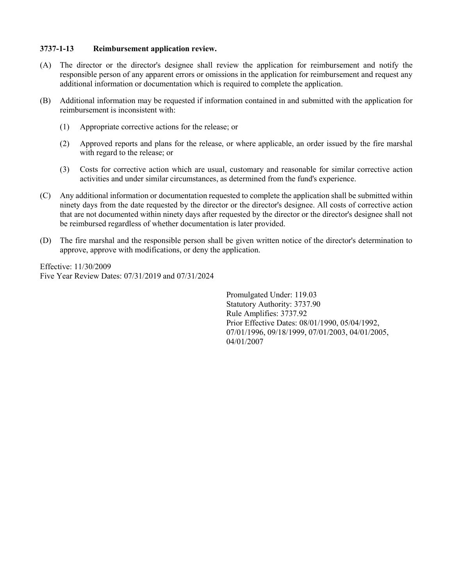### <span id="page-29-0"></span>3737-1-13 Reimbursement application review.

- (A) The director or the director's designee shall review the application for reimbursement and notify the responsible person of any apparent errors or omissions in the application for reimbursement and request any additional information or documentation which is required to complete the application.
- (B) Additional information may be requested if information contained in and submitted with the application for reimbursement is inconsistent with:
	- (1) Appropriate corrective actions for the release; or
	- (2) Approved reports and plans for the release, or where applicable, an order issued by the fire marshal with regard to the release; or
	- (3) Costs for corrective action which are usual, customary and reasonable for similar corrective action activities and under similar circumstances, as determined from the fund's experience.
- (C) Any additional information or documentation requested to complete the application shall be submitted within ninety days from the date requested by the director or the director's designee. All costs of corrective action that are not documented within ninety days after requested by the director or the director's designee shall not be reimbursed regardless of whether documentation is later provided.
- (D) The fire marshal and the responsible person shall be given written notice of the director's determination to approve, approve with modifications, or deny the application.

Effective: 11/30/2009 Five Year Review Dates: 07/31/2019 and 07/31/2024

> Promulgated Under: 119.03 Statutory Authority: 3737.90 Rule Amplifies: 3737.92 Prior Effective Dates: 08/01/1990, 05/04/1992, 07/01/1996, 09/18/1999, 07/01/2003, 04/01/2005, 04/01/2007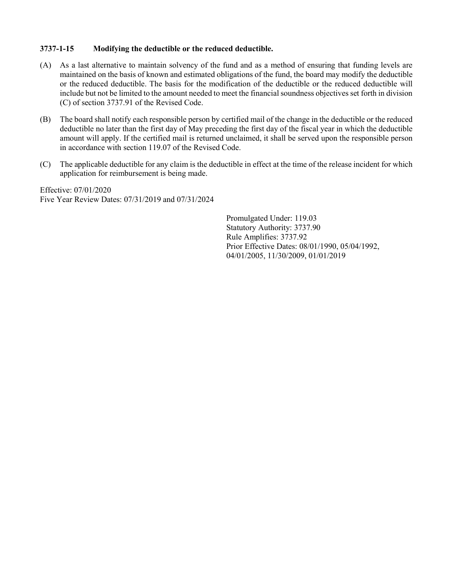## <span id="page-30-0"></span>3737-1-15 Modifying the deductible or the reduced deductible.

- (A) As a last alternative to maintain solvency of the fund and as a method of ensuring that funding levels are maintained on the basis of known and estimated obligations of the fund, the board may modify the deductible or the reduced deductible. The basis for the modification of the deductible or the reduced deductible will include but not be limited to the amount needed to meet the financial soundness objectives set forth in division (C) of section 3737.91 of the Revised Code.
- (B) The board shall notify each responsible person by certified mail of the change in the deductible or the reduced deductible no later than the first day of May preceding the first day of the fiscal year in which the deductible amount will apply. If the certified mail is returned unclaimed, it shall be served upon the responsible person in accordance with section 119.07 of the Revised Code.
- (C) The applicable deductible for any claim is the deductible in effect at the time of the release incident for which application for reimbursement is being made.

Effective: 07/01/2020 Five Year Review Dates: 07/31/2019 and 07/31/2024

> Promulgated Under: 119.03 Statutory Authority: 3737.90 Rule Amplifies: 3737.92 Prior Effective Dates: 08/01/1990, 05/04/1992, 04/01/2005, 11/30/2009, 01/01/2019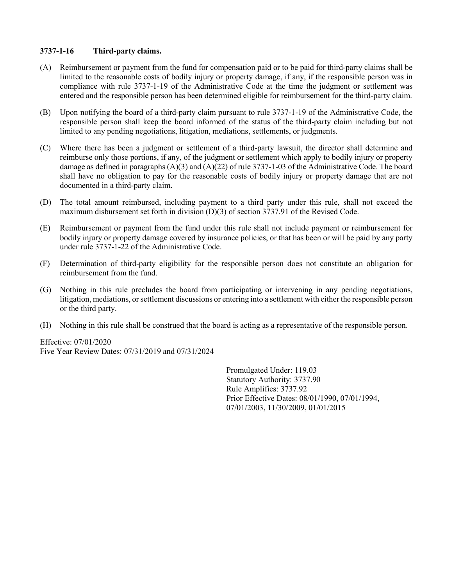## <span id="page-31-0"></span>3737-1-16 Third-party claims.

- (A) Reimbursement or payment from the fund for compensation paid or to be paid for third-party claims shall be limited to the reasonable costs of bodily injury or property damage, if any, if the responsible person was in compliance with rule 3737-1-19 of the Administrative Code at the time the judgment or settlement was entered and the responsible person has been determined eligible for reimbursement for the third-party claim.
- (B) Upon notifying the board of a third-party claim pursuant to rule 3737-1-19 of the Administrative Code, the responsible person shall keep the board informed of the status of the third-party claim including but not limited to any pending negotiations, litigation, mediations, settlements, or judgments.
- (C) Where there has been a judgment or settlement of a third-party lawsuit, the director shall determine and reimburse only those portions, if any, of the judgment or settlement which apply to bodily injury or property damage as defined in paragraphs (A)(3) and (A)(22) of rule 3737-1-03 of the Administrative Code. The board shall have no obligation to pay for the reasonable costs of bodily injury or property damage that are not documented in a third-party claim.
- (D) The total amount reimbursed, including payment to a third party under this rule, shall not exceed the maximum disbursement set forth in division (D)(3) of section 3737.91 of the Revised Code.
- (E) Reimbursement or payment from the fund under this rule shall not include payment or reimbursement for bodily injury or property damage covered by insurance policies, or that has been or will be paid by any party under rule 3737-1-22 of the Administrative Code.
- (F) Determination of third-party eligibility for the responsible person does not constitute an obligation for reimbursement from the fund.
- (G) Nothing in this rule precludes the board from participating or intervening in any pending negotiations, litigation, mediations, or settlement discussions or entering into a settlement with either the responsible person or the third party.
- (H) Nothing in this rule shall be construed that the board is acting as a representative of the responsible person.

Effective: 07/01/2020 Five Year Review Dates: 07/31/2019 and 07/31/2024

> Promulgated Under: 119.03 Statutory Authority: 3737.90 Rule Amplifies: 3737.92 Prior Effective Dates: 08/01/1990, 07/01/1994, 07/01/2003, 11/30/2009, 01/01/2015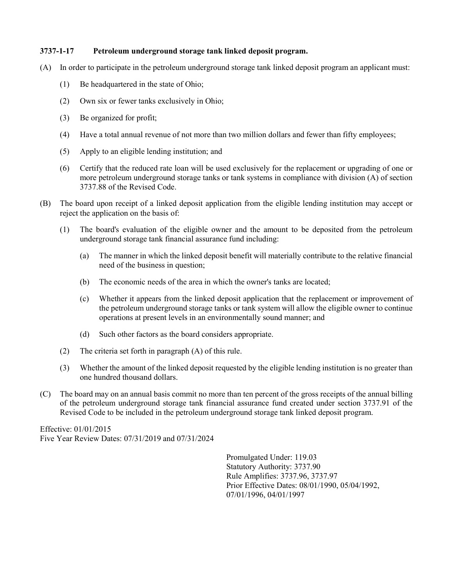### <span id="page-32-0"></span>3737-1-17 Petroleum underground storage tank linked deposit program.

- (A) In order to participate in the petroleum underground storage tank linked deposit program an applicant must:
	- (1) Be headquartered in the state of Ohio;
	- (2) Own six or fewer tanks exclusively in Ohio;
	- (3) Be organized for profit;
	- (4) Have a total annual revenue of not more than two million dollars and fewer than fifty employees;
	- (5) Apply to an eligible lending institution; and
	- (6) Certify that the reduced rate loan will be used exclusively for the replacement or upgrading of one or more petroleum underground storage tanks or tank systems in compliance with division (A) of section 3737.88 of the Revised Code.
- (B) The board upon receipt of a linked deposit application from the eligible lending institution may accept or reject the application on the basis of:
	- (1) The board's evaluation of the eligible owner and the amount to be deposited from the petroleum underground storage tank financial assurance fund including:
		- (a) The manner in which the linked deposit benefit will materially contribute to the relative financial need of the business in question;
		- (b) The economic needs of the area in which the owner's tanks are located;
		- (c) Whether it appears from the linked deposit application that the replacement or improvement of the petroleum underground storage tanks or tank system will allow the eligible owner to continue operations at present levels in an environmentally sound manner; and
		- (d) Such other factors as the board considers appropriate.
	- (2) The criteria set forth in paragraph (A) of this rule.
	- (3) Whether the amount of the linked deposit requested by the eligible lending institution is no greater than one hundred thousand dollars.
- (C) The board may on an annual basis commit no more than ten percent of the gross receipts of the annual billing of the petroleum underground storage tank financial assurance fund created under section 3737.91 of the Revised Code to be included in the petroleum underground storage tank linked deposit program.

Effective: 01/01/2015 Five Year Review Dates: 07/31/2019 and 07/31/2024

> Promulgated Under: 119.03 Statutory Authority: 3737.90 Rule Amplifies: 3737.96, 3737.97 Prior Effective Dates: 08/01/1990, 05/04/1992, 07/01/1996, 04/01/1997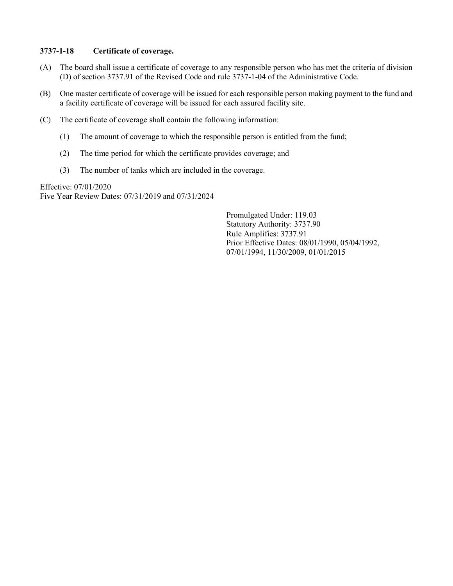### <span id="page-33-0"></span>3737-1-18 Certificate of coverage.

- (A) The board shall issue a certificate of coverage to any responsible person who has met the criteria of division (D) of section 3737.91 of the Revised Code and rule 3737-1-04 of the Administrative Code.
- (B) One master certificate of coverage will be issued for each responsible person making payment to the fund and a facility certificate of coverage will be issued for each assured facility site.
- (C) The certificate of coverage shall contain the following information:
	- (1) The amount of coverage to which the responsible person is entitled from the fund;
	- (2) The time period for which the certificate provides coverage; and
	- (3) The number of tanks which are included in the coverage.

Effective: 07/01/2020 Five Year Review Dates: 07/31/2019 and 07/31/2024

> Promulgated Under: 119.03 Statutory Authority: 3737.90 Rule Amplifies: 3737.91 Prior Effective Dates: 08/01/1990, 05/04/1992, 07/01/1994, 11/30/2009, 01/01/2015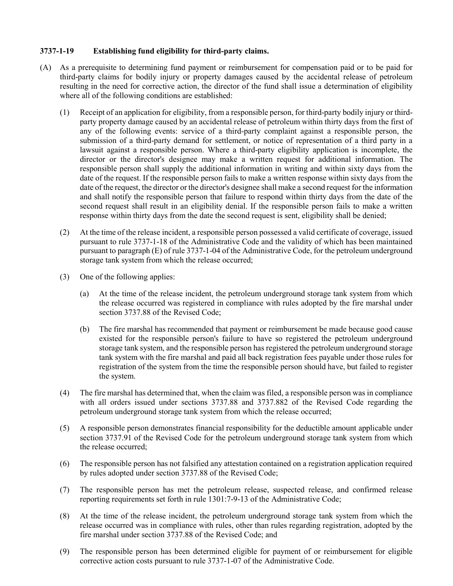## <span id="page-34-0"></span>3737-1-19 Establishing fund eligibility for third-party claims.

- (A) As a prerequisite to determining fund payment or reimbursement for compensation paid or to be paid for third-party claims for bodily injury or property damages caused by the accidental release of petroleum resulting in the need for corrective action, the director of the fund shall issue a determination of eligibility where all of the following conditions are established:
	- (1) Receipt of an application for eligibility, from a responsible person, for third-party bodily injury or thirdparty property damage caused by an accidental release of petroleum within thirty days from the first of any of the following events: service of a third-party complaint against a responsible person, the submission of a third-party demand for settlement, or notice of representation of a third party in a lawsuit against a responsible person. Where a third-party eligibility application is incomplete, the director or the director's designee may make a written request for additional information. The responsible person shall supply the additional information in writing and within sixty days from the date of the request. If the responsible person fails to make a written response within sixty days from the date of the request, the director or the director's designee shall make a second request for the information and shall notify the responsible person that failure to respond within thirty days from the date of the second request shall result in an eligibility denial. If the responsible person fails to make a written response within thirty days from the date the second request is sent, eligibility shall be denied;
	- (2) At the time of the release incident, a responsible person possessed a valid certificate of coverage, issued pursuant to rule 3737-1-18 of the Administrative Code and the validity of which has been maintained pursuant to paragraph (E) of rule 3737-1-04 of the Administrative Code, for the petroleum underground storage tank system from which the release occurred;
	- (3) One of the following applies:
		- (a) At the time of the release incident, the petroleum underground storage tank system from which the release occurred was registered in compliance with rules adopted by the fire marshal under section 3737.88 of the Revised Code;
		- (b) The fire marshal has recommended that payment or reimbursement be made because good cause existed for the responsible person's failure to have so registered the petroleum underground storage tank system, and the responsible person has registered the petroleum underground storage tank system with the fire marshal and paid all back registration fees payable under those rules for registration of the system from the time the responsible person should have, but failed to register the system.
	- (4) The fire marshal has determined that, when the claim was filed, a responsible person was in compliance with all orders issued under sections 3737.88 and 3737.882 of the Revised Code regarding the petroleum underground storage tank system from which the release occurred;
	- (5) A responsible person demonstrates financial responsibility for the deductible amount applicable under section 3737.91 of the Revised Code for the petroleum underground storage tank system from which the release occurred;
	- (6) The responsible person has not falsified any attestation contained on a registration application required by rules adopted under section 3737.88 of the Revised Code;
	- (7) The responsible person has met the petroleum release, suspected release, and confirmed release reporting requirements set forth in rule 1301:7-9-13 of the Administrative Code;
	- (8) At the time of the release incident, the petroleum underground storage tank system from which the release occurred was in compliance with rules, other than rules regarding registration, adopted by the fire marshal under section 3737.88 of the Revised Code; and
	- (9) The responsible person has been determined eligible for payment of or reimbursement for eligible corrective action costs pursuant to rule 3737-1-07 of the Administrative Code.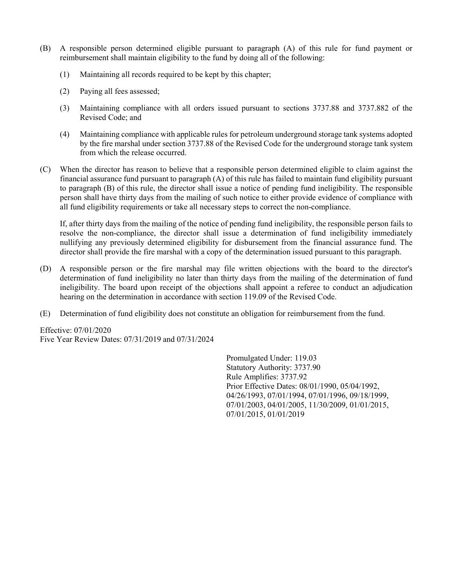- (B) A responsible person determined eligible pursuant to paragraph (A) of this rule for fund payment or reimbursement shall maintain eligibility to the fund by doing all of the following:
	- (1) Maintaining all records required to be kept by this chapter;
	- (2) Paying all fees assessed;
	- (3) Maintaining compliance with all orders issued pursuant to sections 3737.88 and 3737.882 of the Revised Code; and
	- (4) Maintaining compliance with applicable rules for petroleum underground storage tank systems adopted by the fire marshal under section 3737.88 of the Revised Code for the underground storage tank system from which the release occurred.
- (C) When the director has reason to believe that a responsible person determined eligible to claim against the financial assurance fund pursuant to paragraph (A) of this rule has failed to maintain fund eligibility pursuant to paragraph (B) of this rule, the director shall issue a notice of pending fund ineligibility. The responsible person shall have thirty days from the mailing of such notice to either provide evidence of compliance with all fund eligibility requirements or take all necessary steps to correct the non-compliance.

If, after thirty days from the mailing of the notice of pending fund ineligibility, the responsible person fails to resolve the non-compliance, the director shall issue a determination of fund ineligibility immediately nullifying any previously determined eligibility for disbursement from the financial assurance fund. The director shall provide the fire marshal with a copy of the determination issued pursuant to this paragraph.

- (D) A responsible person or the fire marshal may file written objections with the board to the director's determination of fund ineligibility no later than thirty days from the mailing of the determination of fund ineligibility. The board upon receipt of the objections shall appoint a referee to conduct an adjudication hearing on the determination in accordance with section 119.09 of the Revised Code.
- (E) Determination of fund eligibility does not constitute an obligation for reimbursement from the fund.

Effective: 07/01/2020 Five Year Review Dates: 07/31/2019 and 07/31/2024

> Promulgated Under: 119.03 Statutory Authority: 3737.90 Rule Amplifies: 3737.92 Prior Effective Dates: 08/01/1990, 05/04/1992, 04/26/1993, 07/01/1994, 07/01/1996, 09/18/1999, 07/01/2003, 04/01/2005, 11/30/2009, 01/01/2015, 07/01/2015, 01/01/2019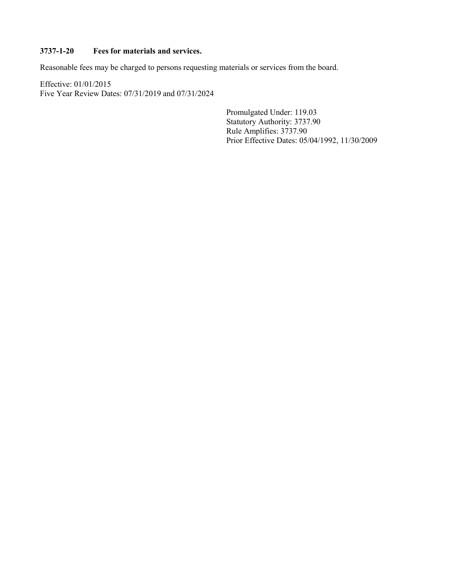# <span id="page-36-0"></span>3737-1-20 Fees for materials and services.

Reasonable fees may be charged to persons requesting materials or services from the board.

Effective: 01/01/2015 Five Year Review Dates: 07/31/2019 and 07/31/2024

> Promulgated Under: 119.03 Statutory Authority: 3737.90 Rule Amplifies: 3737.90 Prior Effective Dates: 05/04/1992, 11/30/2009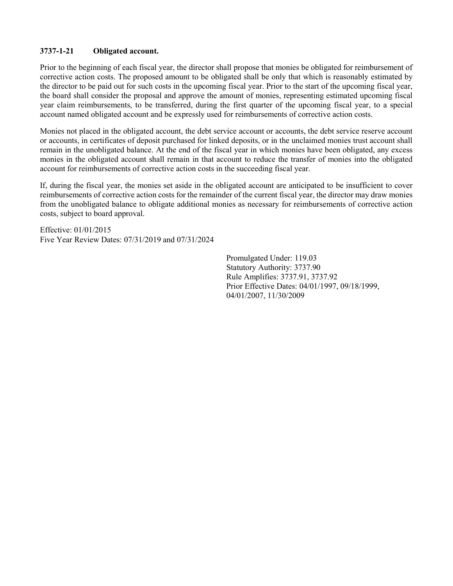## <span id="page-37-0"></span>3737-1-21 Obligated account.

Prior to the beginning of each fiscal year, the director shall propose that monies be obligated for reimbursement of corrective action costs. The proposed amount to be obligated shall be only that which is reasonably estimated by the director to be paid out for such costs in the upcoming fiscal year. Prior to the start of the upcoming fiscal year, the board shall consider the proposal and approve the amount of monies, representing estimated upcoming fiscal year claim reimbursements, to be transferred, during the first quarter of the upcoming fiscal year, to a special account named obligated account and be expressly used for reimbursements of corrective action costs.

Monies not placed in the obligated account, the debt service account or accounts, the debt service reserve account or accounts, in certificates of deposit purchased for linked deposits, or in the unclaimed monies trust account shall remain in the unobligated balance. At the end of the fiscal year in which monies have been obligated, any excess monies in the obligated account shall remain in that account to reduce the transfer of monies into the obligated account for reimbursements of corrective action costs in the succeeding fiscal year.

If, during the fiscal year, the monies set aside in the obligated account are anticipated to be insufficient to cover reimbursements of corrective action costs for the remainder of the current fiscal year, the director may draw monies from the unobligated balance to obligate additional monies as necessary for reimbursements of corrective action costs, subject to board approval.

Effective: 01/01/2015 Five Year Review Dates: 07/31/2019 and 07/31/2024

> Promulgated Under: 119.03 Statutory Authority: 3737.90 Rule Amplifies: 3737.91, 3737.92 Prior Effective Dates: 04/01/1997, 09/18/1999, 04/01/2007, 11/30/2009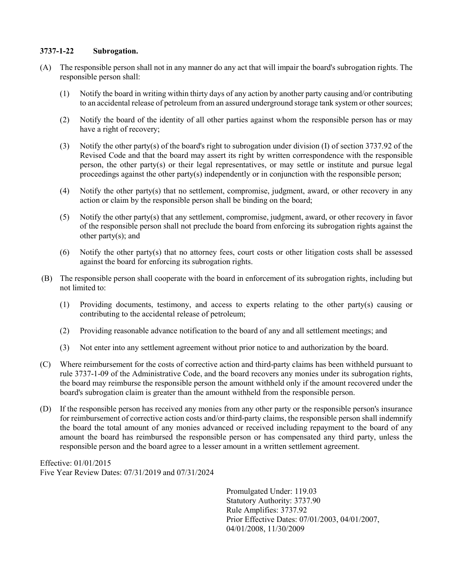### <span id="page-38-0"></span>3737-1-22 Subrogation.

- (A) The responsible person shall not in any manner do any act that will impair the board's subrogation rights. The responsible person shall:
	- (1) Notify the board in writing within thirty days of any action by another party causing and/or contributing to an accidental release of petroleum from an assured underground storage tank system or other sources;
	- (2) Notify the board of the identity of all other parties against whom the responsible person has or may have a right of recovery;
	- (3) Notify the other party(s) of the board's right to subrogation under division (I) of section 3737.92 of the Revised Code and that the board may assert its right by written correspondence with the responsible person, the other party(s) or their legal representatives, or may settle or institute and pursue legal proceedings against the other party(s) independently or in conjunction with the responsible person;
	- (4) Notify the other party(s) that no settlement, compromise, judgment, award, or other recovery in any action or claim by the responsible person shall be binding on the board;
	- (5) Notify the other party(s) that any settlement, compromise, judgment, award, or other recovery in favor of the responsible person shall not preclude the board from enforcing its subrogation rights against the other party(s); and
	- (6) Notify the other party(s) that no attorney fees, court costs or other litigation costs shall be assessed against the board for enforcing its subrogation rights.
- (B) The responsible person shall cooperate with the board in enforcement of its subrogation rights, including but not limited to:
	- (1) Providing documents, testimony, and access to experts relating to the other party(s) causing or contributing to the accidental release of petroleum;
	- (2) Providing reasonable advance notification to the board of any and all settlement meetings; and
	- (3) Not enter into any settlement agreement without prior notice to and authorization by the board.
- (C) Where reimbursement for the costs of corrective action and third-party claims has been withheld pursuant to rule 3737-1-09 of the Administrative Code, and the board recovers any monies under its subrogation rights, the board may reimburse the responsible person the amount withheld only if the amount recovered under the board's subrogation claim is greater than the amount withheld from the responsible person.
- (D) If the responsible person has received any monies from any other party or the responsible person's insurance for reimbursement of corrective action costs and/or third-party claims, the responsible person shall indemnify the board the total amount of any monies advanced or received including repayment to the board of any amount the board has reimbursed the responsible person or has compensated any third party, unless the responsible person and the board agree to a lesser amount in a written settlement agreement.

Effective: 01/01/2015 Five Year Review Dates: 07/31/2019 and 07/31/2024

> Promulgated Under: 119.03 Statutory Authority: 3737.90 Rule Amplifies: 3737.92 Prior Effective Dates: 07/01/2003, 04/01/2007, 04/01/2008, 11/30/2009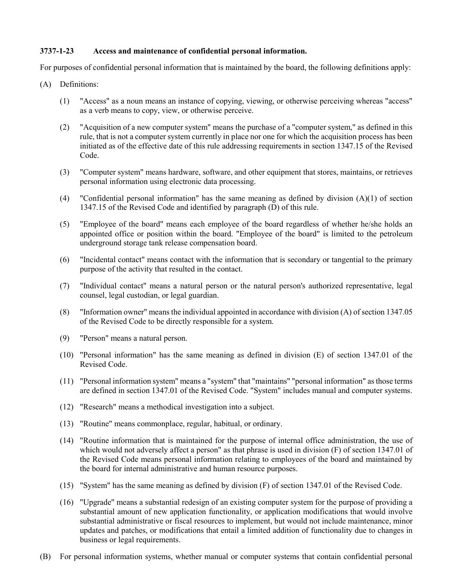## <span id="page-39-0"></span>3737-1-23 Access and maintenance of confidential personal information.

For purposes of confidential personal information that is maintained by the board, the following definitions apply:

- (A) Definitions:
	- (1) "Access" as a noun means an instance of copying, viewing, or otherwise perceiving whereas "access" as a verb means to copy, view, or otherwise perceive.
	- (2) "Acquisition of a new computer system" means the purchase of a "computer system," as defined in this rule, that is not a computer system currently in place nor one for which the acquisition process has been initiated as of the effective date of this rule addressing requirements in section 1347.15 of the Revised Code.
	- (3) "Computer system" means hardware, software, and other equipment that stores, maintains, or retrieves personal information using electronic data processing.
	- (4) "Confidential personal information" has the same meaning as defined by division (A)(1) of section 1347.15 of the Revised Code and identified by paragraph (D) of this rule.
	- (5) "Employee of the board" means each employee of the board regardless of whether he/she holds an appointed office or position within the board. "Employee of the board" is limited to the petroleum underground storage tank release compensation board.
	- (6) "Incidental contact" means contact with the information that is secondary or tangential to the primary purpose of the activity that resulted in the contact.
	- (7) "Individual contact" means a natural person or the natural person's authorized representative, legal counsel, legal custodian, or legal guardian.
	- (8) "Information owner" means the individual appointed in accordance with division (A) of section 1347.05 of the Revised Code to be directly responsible for a system.
	- (9) "Person" means a natural person.
	- (10) "Personal information" has the same meaning as defined in division (E) of section 1347.01 of the Revised Code.
	- (11) "Personal information system" means a "system" that "maintains" "personal information" as those terms are defined in section 1347.01 of the Revised Code. "System" includes manual and computer systems.
	- (12) "Research" means a methodical investigation into a subject.
	- (13) "Routine" means commonplace, regular, habitual, or ordinary.
	- (14) "Routine information that is maintained for the purpose of internal office administration, the use of which would not adversely affect a person" as that phrase is used in division (F) of section 1347.01 of the Revised Code means personal information relating to employees of the board and maintained by the board for internal administrative and human resource purposes.
	- (15) "System" has the same meaning as defined by division (F) of section 1347.01 of the Revised Code.
	- (16) "Upgrade" means a substantial redesign of an existing computer system for the purpose of providing a substantial amount of new application functionality, or application modifications that would involve substantial administrative or fiscal resources to implement, but would not include maintenance, minor updates and patches, or modifications that entail a limited addition of functionality due to changes in business or legal requirements.
- (B) For personal information systems, whether manual or computer systems that contain confidential personal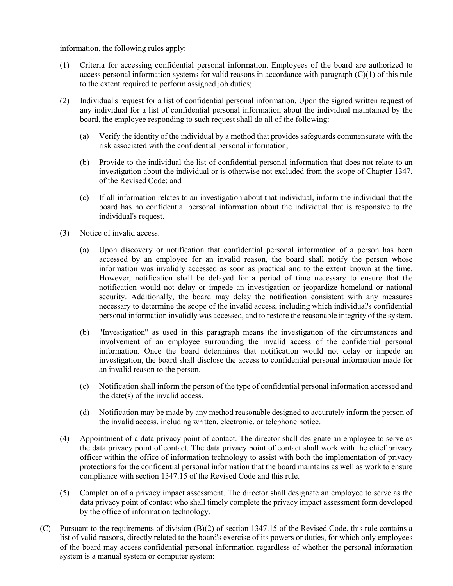information, the following rules apply:

- (1) Criteria for accessing confidential personal information. Employees of the board are authorized to access personal information systems for valid reasons in accordance with paragraph (C)(1) of this rule to the extent required to perform assigned job duties;
- (2) Individual's request for a list of confidential personal information. Upon the signed written request of any individual for a list of confidential personal information about the individual maintained by the board, the employee responding to such request shall do all of the following:
	- (a) Verify the identity of the individual by a method that provides safeguards commensurate with the risk associated with the confidential personal information;
	- (b) Provide to the individual the list of confidential personal information that does not relate to an investigation about the individual or is otherwise not excluded from the scope of Chapter 1347. of the Revised Code; and
	- (c) If all information relates to an investigation about that individual, inform the individual that the board has no confidential personal information about the individual that is responsive to the individual's request.
- (3) Notice of invalid access.
	- (a) Upon discovery or notification that confidential personal information of a person has been accessed by an employee for an invalid reason, the board shall notify the person whose information was invalidly accessed as soon as practical and to the extent known at the time. However, notification shall be delayed for a period of time necessary to ensure that the notification would not delay or impede an investigation or jeopardize homeland or national security. Additionally, the board may delay the notification consistent with any measures necessary to determine the scope of the invalid access, including which individual's confidential personal information invalidly was accessed, and to restore the reasonable integrity of the system.
	- (b) "Investigation" as used in this paragraph means the investigation of the circumstances and involvement of an employee surrounding the invalid access of the confidential personal information. Once the board determines that notification would not delay or impede an investigation, the board shall disclose the access to confidential personal information made for an invalid reason to the person.
	- (c) Notification shall inform the person of the type of confidential personal information accessed and the date(s) of the invalid access.
	- (d) Notification may be made by any method reasonable designed to accurately inform the person of the invalid access, including written, electronic, or telephone notice.
- (4) Appointment of a data privacy point of contact. The director shall designate an employee to serve as the data privacy point of contact. The data privacy point of contact shall work with the chief privacy officer within the office of information technology to assist with both the implementation of privacy protections for the confidential personal information that the board maintains as well as work to ensure compliance with section 1347.15 of the Revised Code and this rule.
- (5) Completion of a privacy impact assessment. The director shall designate an employee to serve as the data privacy point of contact who shall timely complete the privacy impact assessment form developed by the office of information technology.
- (C) Pursuant to the requirements of division (B)(2) of section 1347.15 of the Revised Code, this rule contains a list of valid reasons, directly related to the board's exercise of its powers or duties, for which only employees of the board may access confidential personal information regardless of whether the personal information system is a manual system or computer system: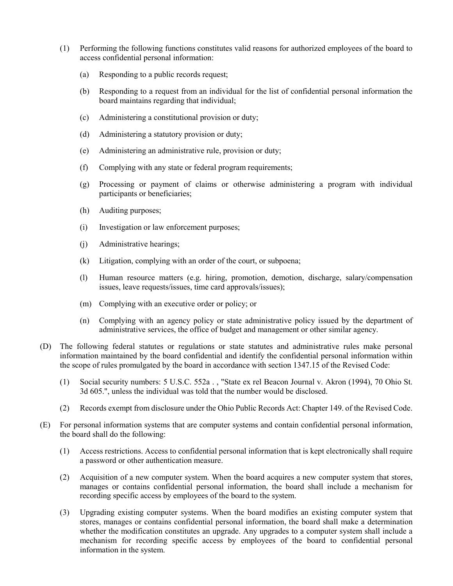- (1) Performing the following functions constitutes valid reasons for authorized employees of the board to access confidential personal information:
	- (a) Responding to a public records request;
	- (b) Responding to a request from an individual for the list of confidential personal information the board maintains regarding that individual;
	- (c) Administering a constitutional provision or duty;
	- (d) Administering a statutory provision or duty;
	- (e) Administering an administrative rule, provision or duty;
	- (f) Complying with any state or federal program requirements;
	- (g) Processing or payment of claims or otherwise administering a program with individual participants or beneficiaries;
	- (h) Auditing purposes;
	- (i) Investigation or law enforcement purposes;
	- (j) Administrative hearings;
	- (k) Litigation, complying with an order of the court, or subpoena;
	- (l) Human resource matters (e.g. hiring, promotion, demotion, discharge, salary/compensation issues, leave requests/issues, time card approvals/issues);
	- (m) Complying with an executive order or policy; or
	- (n) Complying with an agency policy or state administrative policy issued by the department of administrative services, the office of budget and management or other similar agency.
- (D) The following federal statutes or regulations or state statutes and administrative rules make personal information maintained by the board confidential and identify the confidential personal information within the scope of rules promulgated by the board in accordance with section 1347.15 of the Revised Code:
	- (1) Social security numbers: 5 U.S.C. 552a . , "State ex rel Beacon Journal v. Akron (1994), 70 Ohio St. 3d 605.", unless the individual was told that the number would be disclosed.
	- (2) Records exempt from disclosure under the Ohio Public Records Act: Chapter 149. of the Revised Code.
- (E) For personal information systems that are computer systems and contain confidential personal information, the board shall do the following:
	- (1) Access restrictions. Access to confidential personal information that is kept electronically shall require a password or other authentication measure.
	- (2) Acquisition of a new computer system. When the board acquires a new computer system that stores, manages or contains confidential personal information, the board shall include a mechanism for recording specific access by employees of the board to the system.
	- (3) Upgrading existing computer systems. When the board modifies an existing computer system that stores, manages or contains confidential personal information, the board shall make a determination whether the modification constitutes an upgrade. Any upgrades to a computer system shall include a mechanism for recording specific access by employees of the board to confidential personal information in the system.